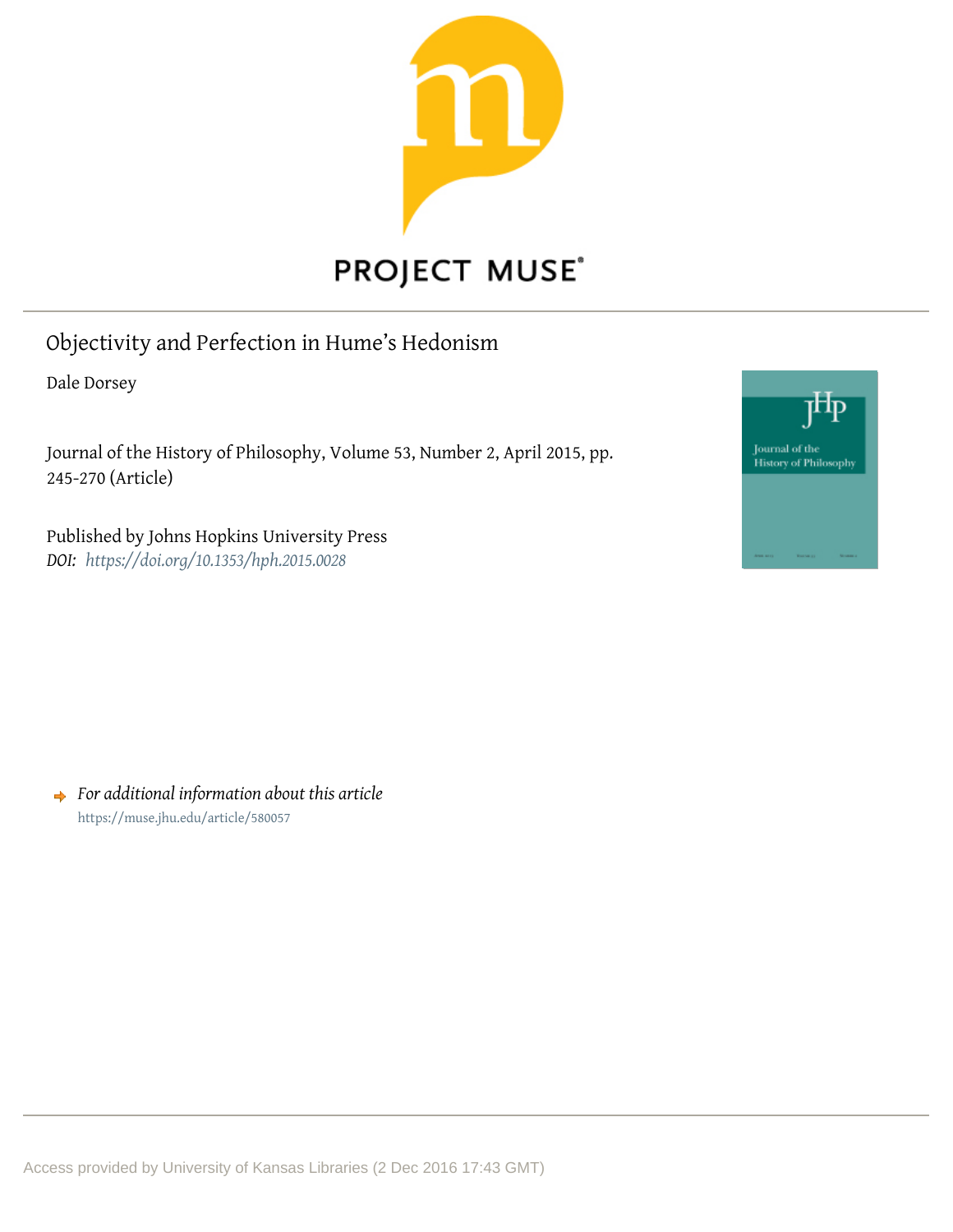

## Objectivity and Perfection in Hume's Hedonism

Dale Dorsey

Journal of the History of Philosophy, Volume 53, Number 2, April 2015, pp. 245-270 (Article)

Published by Johns Hopkins University Press *DOI: https://doi.org/10.1353/hph.2015.0028* 



**→** For additional information about this article https://muse.jhu.edu/article/580057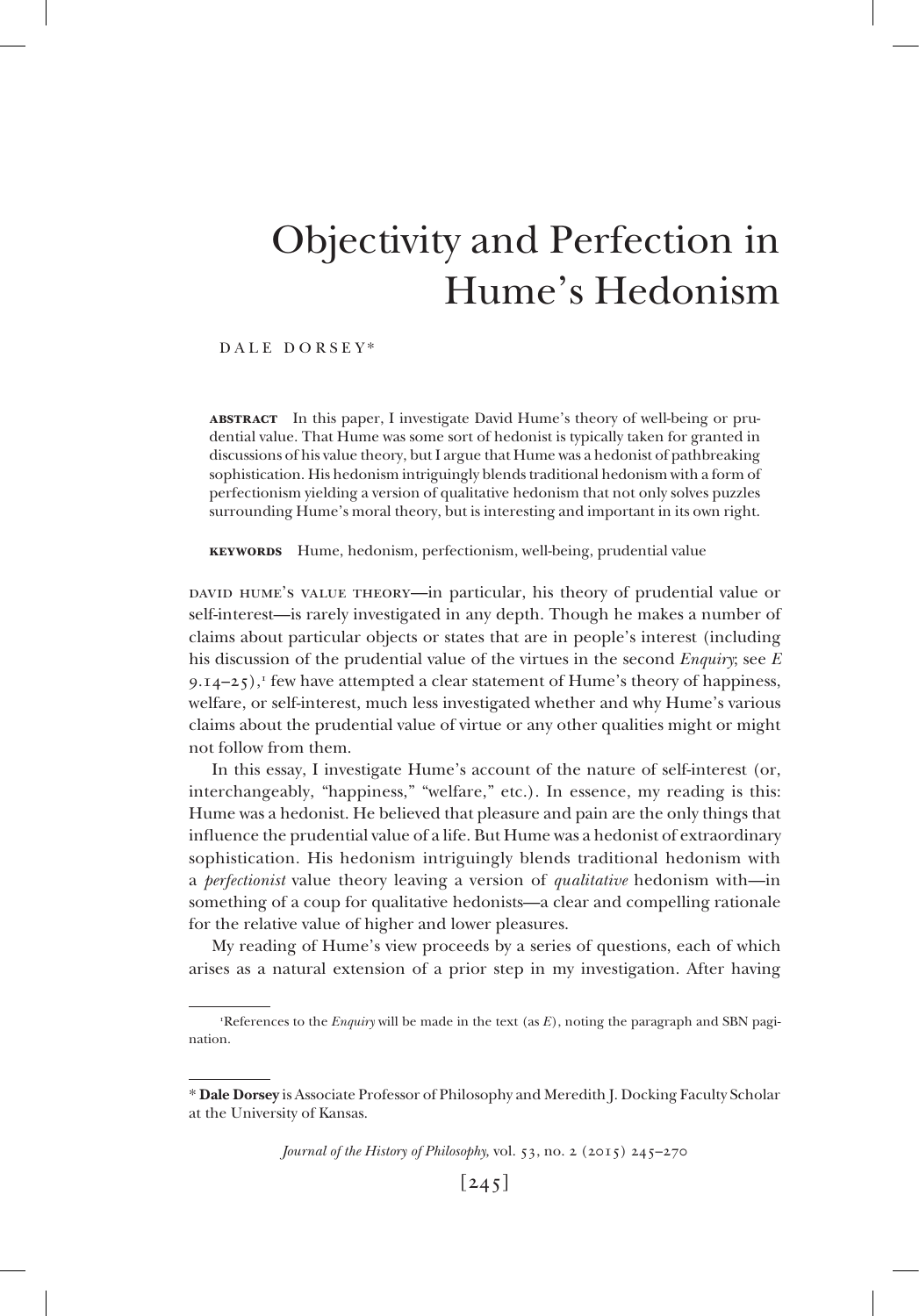# Objectivity and Perfection in Hume's Hedonism

Dale D o rsey\*

**abstract** In this paper, I investigate David Hume's theory of well-being or prudential value. That Hume was some sort of hedonist is typically taken for granted in discussions of his value theory, but I argue that Hume was a hedonist of pathbreaking sophistication. His hedonism intriguingly blends traditional hedonism with a form of perfectionism yielding a version of qualitative hedonism that not only solves puzzles surrounding Hume's moral theory, but is interesting and important in its own right.

**keywords** Hume, hedonism, perfectionism, well-being, prudential value

david hume's value theory—in particular, his theory of prudential value or self-interest—is rarely investigated in any depth. Though he makes a number of claims about particular objects or states that are in people's interest (including his discussion of the prudential value of the virtues in the second *Enquiry*; see *E*  $9.14-25$ , <sup>r</sup> few have attempted a clear statement of Hume's theory of happiness, welfare, or self-interest, much less investigated whether and why Hume's various claims about the prudential value of virtue or any other qualities might or might not follow from them.

In this essay, I investigate Hume's account of the nature of self-interest (or, interchangeably, "happiness," "welfare," etc.). In essence, my reading is this: Hume was a hedonist. He believed that pleasure and pain are the only things that influence the prudential value of a life. But Hume was a hedonist of extraordinary sophistication. His hedonism intriguingly blends traditional hedonism with a *perfectionist* value theory leaving a version of *qualitative* hedonism with—in something of a coup for qualitative hedonists—a clear and compelling rationale for the relative value of higher and lower pleasures.

My reading of Hume's view proceeds by a series of questions, each of which arises as a natural extension of a prior step in my investigation. After having

<sup>1</sup> References to the *Enquiry* will be made in the text (as *E*), noting the paragraph and SBN pagination.

<sup>\*</sup> **Dale Dorsey** is Associate Professor of Philosophy and Meredith J. Docking Faculty Scholar at the University of Kansas.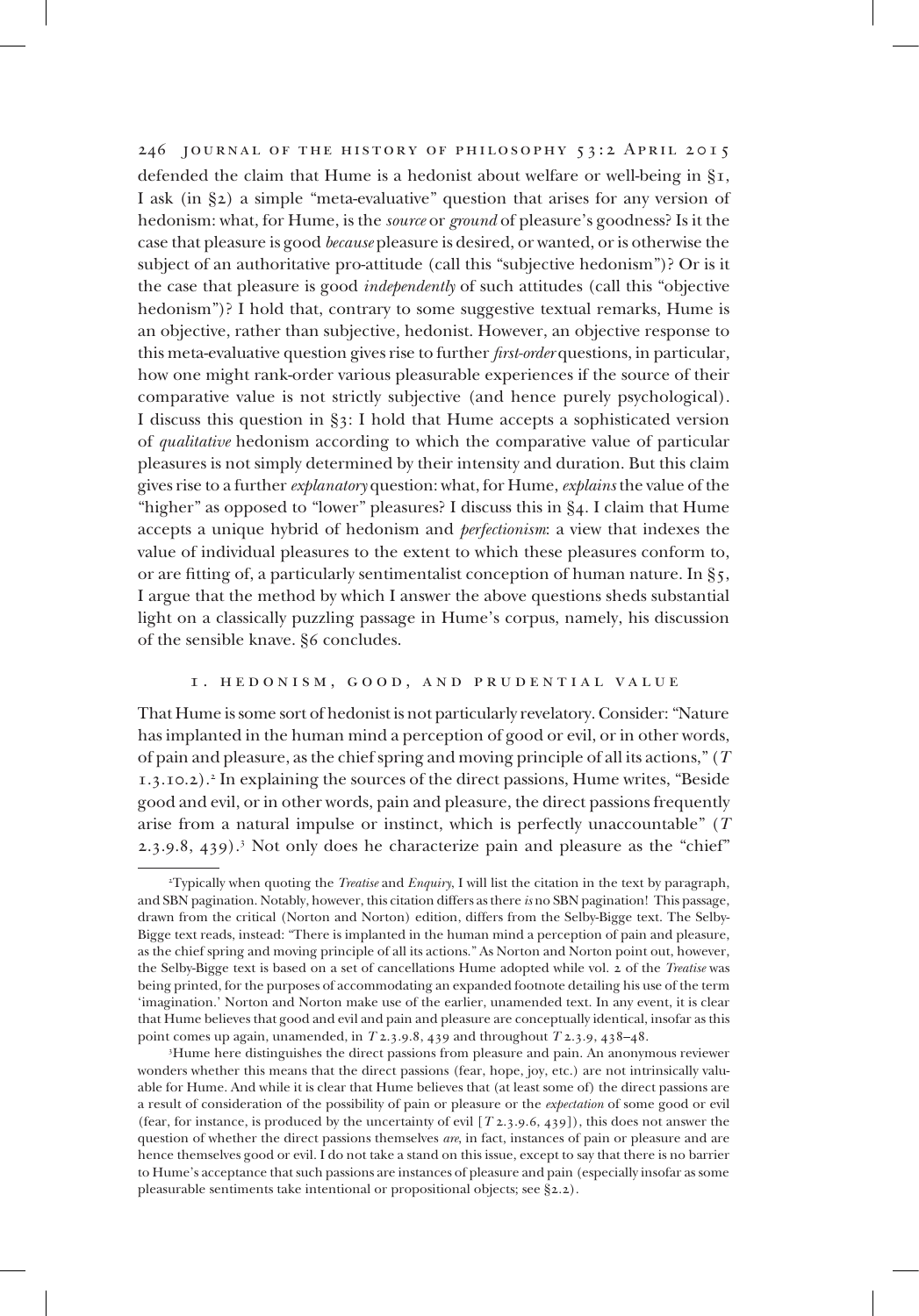defended the claim that Hume is a hedonist about welfare or well-being in §1, I ask (in §2) a simple "meta-evaluative" question that arises for any version of hedonism: what, for Hume, is the *source* or *ground* of pleasure's goodness? Is it the case that pleasure is good *because* pleasure is desired, or wanted, or is otherwise the subject of an authoritative pro-attitude (call this "subjective hedonism")? Or is it the case that pleasure is good *independently* of such attitudes (call this "objective hedonism")? I hold that, contrary to some suggestive textual remarks, Hume is an objective, rather than subjective, hedonist. However, an objective response to this meta-evaluative question gives rise to further *first-order* questions, in particular, how one might rank-order various pleasurable experiences if the source of their comparative value is not strictly subjective (and hence purely psychological). I discuss this question in §3: I hold that Hume accepts a sophisticated version of *qualitative* hedonism according to which the comparative value of particular pleasures is not simply determined by their intensity and duration. But this claim gives rise to a further *explanatory* question: what, for Hume, *explains* the value of the "higher" as opposed to "lower" pleasures? I discuss this in §4. I claim that Hume accepts a unique hybrid of hedonism and *perfectionism*: a view that indexes the value of individual pleasures to the extent to which these pleasures conform to, or are fitting of, a particularly sentimentalist conception of human nature. In §5, I argue that the method by which I answer the above questions sheds substantial light on a classically puzzling passage in Hume's corpus, namely, his discussion of the sensible knave. §6 concludes.

#### 1 . hedonism, good, and prudential value

That Hume is some sort of hedonist is not particularly revelatory. Consider: "Nature has implanted in the human mind a perception of good or evil, or in other words, of pain and pleasure, as the chief spring and moving principle of all its actions," (*T* 1.3.10.2).<sup>2</sup> In explaining the sources of the direct passions, Hume writes, "Beside good and evil, or in other words, pain and pleasure, the direct passions frequently arise from a natural impulse or instinct, which is perfectly unaccountable" (*T* 2.3.9.8, 439).<sup>3</sup> Not only does he characterize pain and pleasure as the "chief"

<sup>2</sup> Typically when quoting the *Treatise* and *Enquiry*, I will list the citation in the text by paragraph, and SBN pagination. Notably, however, this citation differs as there *is* no SBN pagination! This passage, drawn from the critical (Norton and Norton) edition, differs from the Selby-Bigge text. The Selby-Bigge text reads, instead: "There is implanted in the human mind a perception of pain and pleasure, as the chief spring and moving principle of all its actions." As Norton and Norton point out, however, the Selby-Bigge text is based on a set of cancellations Hume adopted while vol. 2 of the *Treatise* was being printed, for the purposes of accommodating an expanded footnote detailing his use of the term 'imagination.' Norton and Norton make use of the earlier, unamended text. In any event, it is clear that Hume believes that good and evil and pain and pleasure are conceptually identical, insofar as this point comes up again, unamended, in *T* 2.3.9.8, 439 and throughout *T* 2.3.9, 438–48.

<sup>3</sup> Hume here distinguishes the direct passions from pleasure and pain. An anonymous reviewer wonders whether this means that the direct passions (fear, hope, joy, etc.) are not intrinsically valuable for Hume. And while it is clear that Hume believes that (at least some of) the direct passions are a result of consideration of the possibility of pain or pleasure or the *expectation* of some good or evil (fear, for instance, is produced by the uncertainty of evil [*T* 2.3.9.6, 439]), this does not answer the question of whether the direct passions themselves *are*, in fact, instances of pain or pleasure and are hence themselves good or evil. I do not take a stand on this issue, except to say that there is no barrier to Hume's acceptance that such passions are instances of pleasure and pain (especially insofar as some pleasurable sentiments take intentional or propositional objects; see §2.2).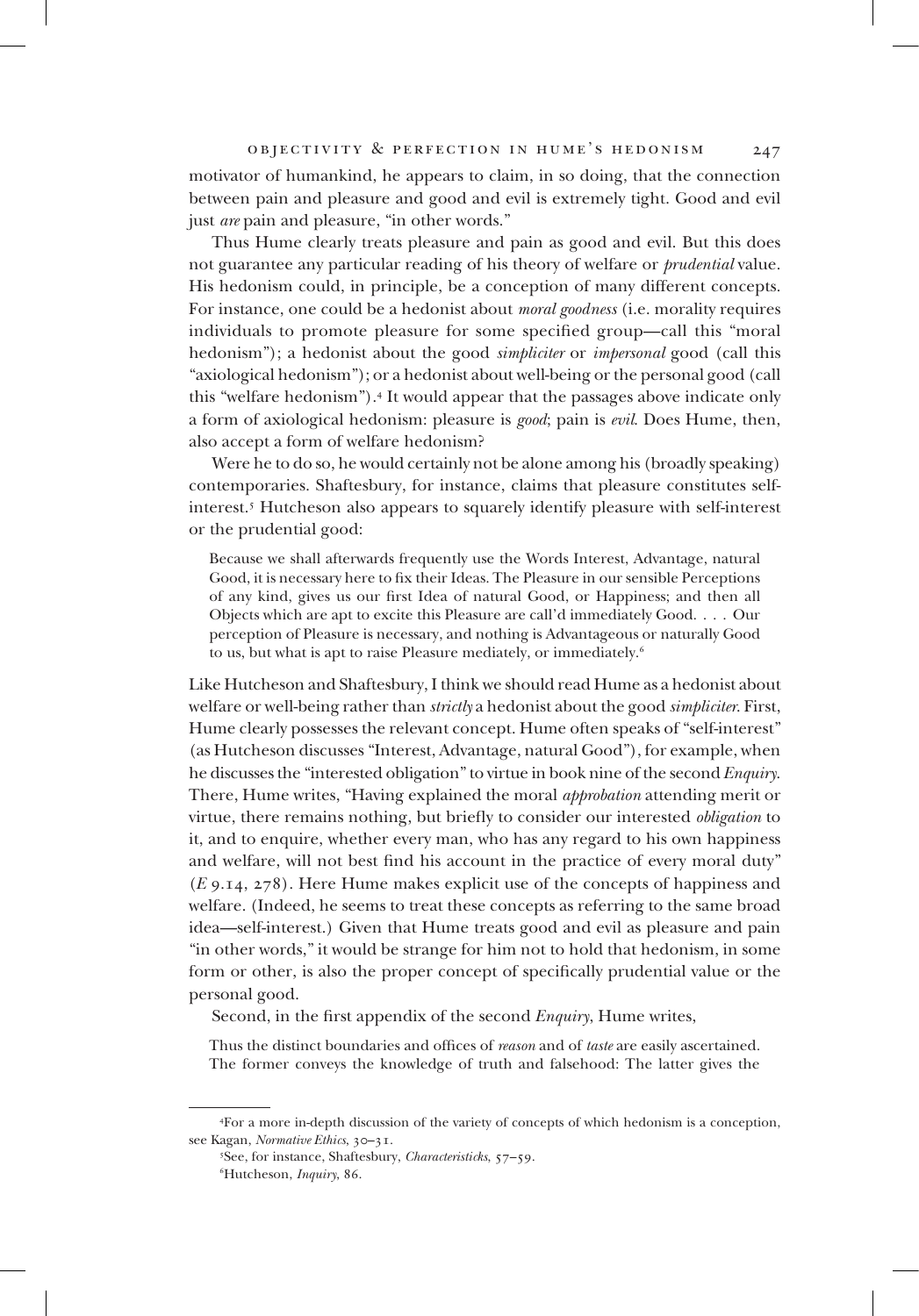objectivity & perfection in hume's hedonism 247

motivator of humankind, he appears to claim, in so doing, that the connection between pain and pleasure and good and evil is extremely tight. Good and evil just *are* pain and pleasure, "in other words."

Thus Hume clearly treats pleasure and pain as good and evil. But this does not guarantee any particular reading of his theory of welfare or *prudential* value. His hedonism could, in principle, be a conception of many different concepts. For instance, one could be a hedonist about *moral goodness* (i.e. morality requires individuals to promote pleasure for some specified group—call this "moral hedonism"); a hedonist about the good *simpliciter* or *impersonal* good (call this "axiological hedonism"); or a hedonist about well-being or the personal good (call this "welfare hedonism").<sup>4</sup> It would appear that the passages above indicate only a form of axiological hedonism: pleasure is *good*; pain is *evil*. Does Hume, then, also accept a form of welfare hedonism?

Were he to do so, he would certainly not be alone among his (broadly speaking) contemporaries. Shaftesbury, for instance, claims that pleasure constitutes selfinterest.<sup>5</sup> Hutcheson also appears to squarely identify pleasure with self-interest or the prudential good:

Because we shall afterwards frequently use the Words Interest, Advantage, natural Good, it is necessary here to fix their Ideas. The Pleasure in our sensible Perceptions of any kind, gives us our first Idea of natural Good, or Happiness; and then all Objects which are apt to excite this Pleasure are call'd immediately Good. . . . Our perception of Pleasure is necessary, and nothing is Advantageous or naturally Good to us, but what is apt to raise Pleasure mediately, or immediately.<sup>6</sup>

Like Hutcheson and Shaftesbury, I think we should read Hume as a hedonist about welfare or well-being rather than *strictly* a hedonist about the good *simpliciter*. First, Hume clearly possesses the relevant concept. Hume often speaks of "self-interest" (as Hutcheson discusses "Interest, Advantage, natural Good"), for example, when he discusses the "interested obligation" to virtue in book nine of the second *Enquiry*. There, Hume writes, "Having explained the moral *approbation* attending merit or virtue, there remains nothing, but briefly to consider our interested *obligation* to it, and to enquire, whether every man, who has any regard to his own happiness and welfare, will not best find his account in the practice of every moral duty" (*E* 9.14, 278). Here Hume makes explicit use of the concepts of happiness and welfare. (Indeed, he seems to treat these concepts as referring to the same broad idea—self-interest.) Given that Hume treats good and evil as pleasure and pain "in other words," it would be strange for him not to hold that hedonism, in some form or other, is also the proper concept of specifically prudential value or the personal good.

Second, in the first appendix of the second *Enquiry*, Hume writes,

Thus the distinct boundaries and offices of *reason* and of *taste* are easily ascertained. The former conveys the knowledge of truth and falsehood: The latter gives the

<sup>4</sup> For a more in-depth discussion of the variety of concepts of which hedonism is a conception, see Kagan, *Normative Ethics*, 30–31.

<sup>5</sup> See, for instance, Shaftesbury, *Characteristicks*, 57–59. 6 Hutcheson, *Inquiry*, 86.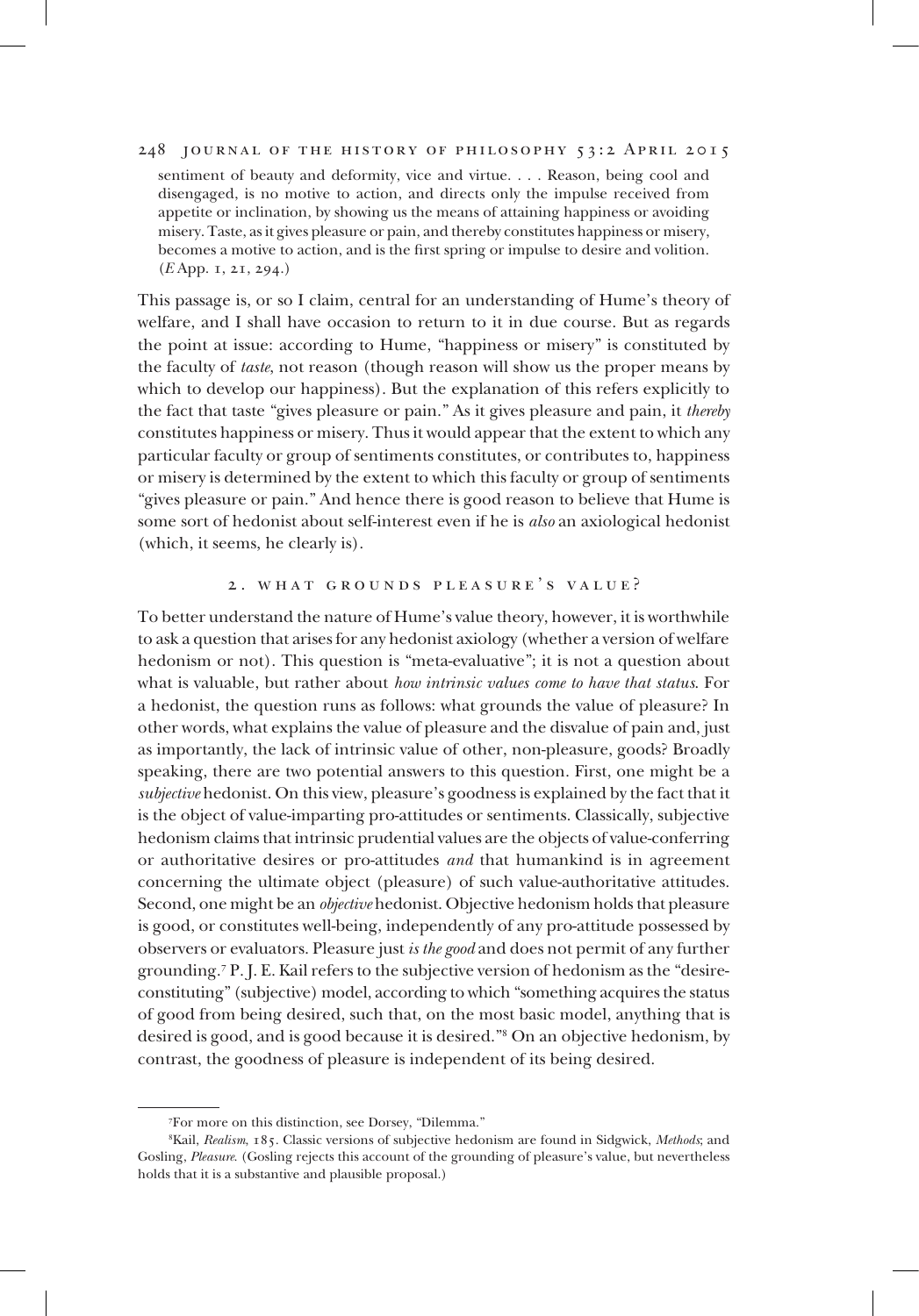sentiment of beauty and deformity, vice and virtue. . . . Reason, being cool and disengaged, is no motive to action, and directs only the impulse received from appetite or inclination, by showing us the means of attaining happiness or avoiding misery. Taste, as it gives pleasure or pain, and thereby constitutes happiness or misery, becomes a motive to action, and is the first spring or impulse to desire and volition. (*E* App. 1, 21, 294.)

This passage is, or so I claim, central for an understanding of Hume's theory of welfare, and I shall have occasion to return to it in due course. But as regards the point at issue: according to Hume, "happiness or misery" is constituted by the faculty of *taste*, not reason (though reason will show us the proper means by which to develop our happiness). But the explanation of this refers explicitly to the fact that taste "gives pleasure or pain." As it gives pleasure and pain, it *thereby* constitutes happiness or misery. Thus it would appear that the extent to which any particular faculty or group of sentiments constitutes, or contributes to, happiness or misery is determined by the extent to which this faculty or group of sentiments "gives pleasure or pain." And hence there is good reason to believe that Hume is some sort of hedonist about self-interest even if he is *also* an axiological hedonist (which, it seems, he clearly is).

#### 2 . what grounds pleasure's value?

To better understand the nature of Hume's value theory, however, it is worthwhile to ask a question that arises for any hedonist axiology (whether a version of welfare hedonism or not). This question is "meta-evaluative"; it is not a question about what is valuable, but rather about *how intrinsic values come to have that status*. For a hedonist, the question runs as follows: what grounds the value of pleasure? In other words, what explains the value of pleasure and the disvalue of pain and, just as importantly, the lack of intrinsic value of other, non-pleasure, goods? Broadly speaking, there are two potential answers to this question. First, one might be a *subjective* hedonist. On this view, pleasure's goodness is explained by the fact that it is the object of value-imparting pro-attitudes or sentiments. Classically, subjective hedonism claims that intrinsic prudential values are the objects of value-conferring or authoritative desires or pro-attitudes *and* that humankind is in agreement concerning the ultimate object (pleasure) of such value-authoritative attitudes. Second, one might be an *objective* hedonist. Objective hedonism holds that pleasure is good, or constitutes well-being, independently of any pro-attitude possessed by observers or evaluators. Pleasure just *is the good* and does not permit of any further grounding.<sup>7</sup> P. J. E. Kail refers to the subjective version of hedonism as the "desireconstituting" (subjective) model, according to which "something acquires the status of good from being desired, such that, on the most basic model, anything that is desired is good, and is good because it is desired."<sup>8</sup> On an objective hedonism, by contrast, the goodness of pleasure is independent of its being desired.

<sup>7</sup> For more on this distinction, see Dorsey, "Dilemma."

<sup>8</sup> Kail, *Realism*, 185. Classic versions of subjective hedonism are found in Sidgwick, *Methods*; and Gosling, *Pleasure*. (Gosling rejects this account of the grounding of pleasure's value, but nevertheless holds that it is a substantive and plausible proposal.)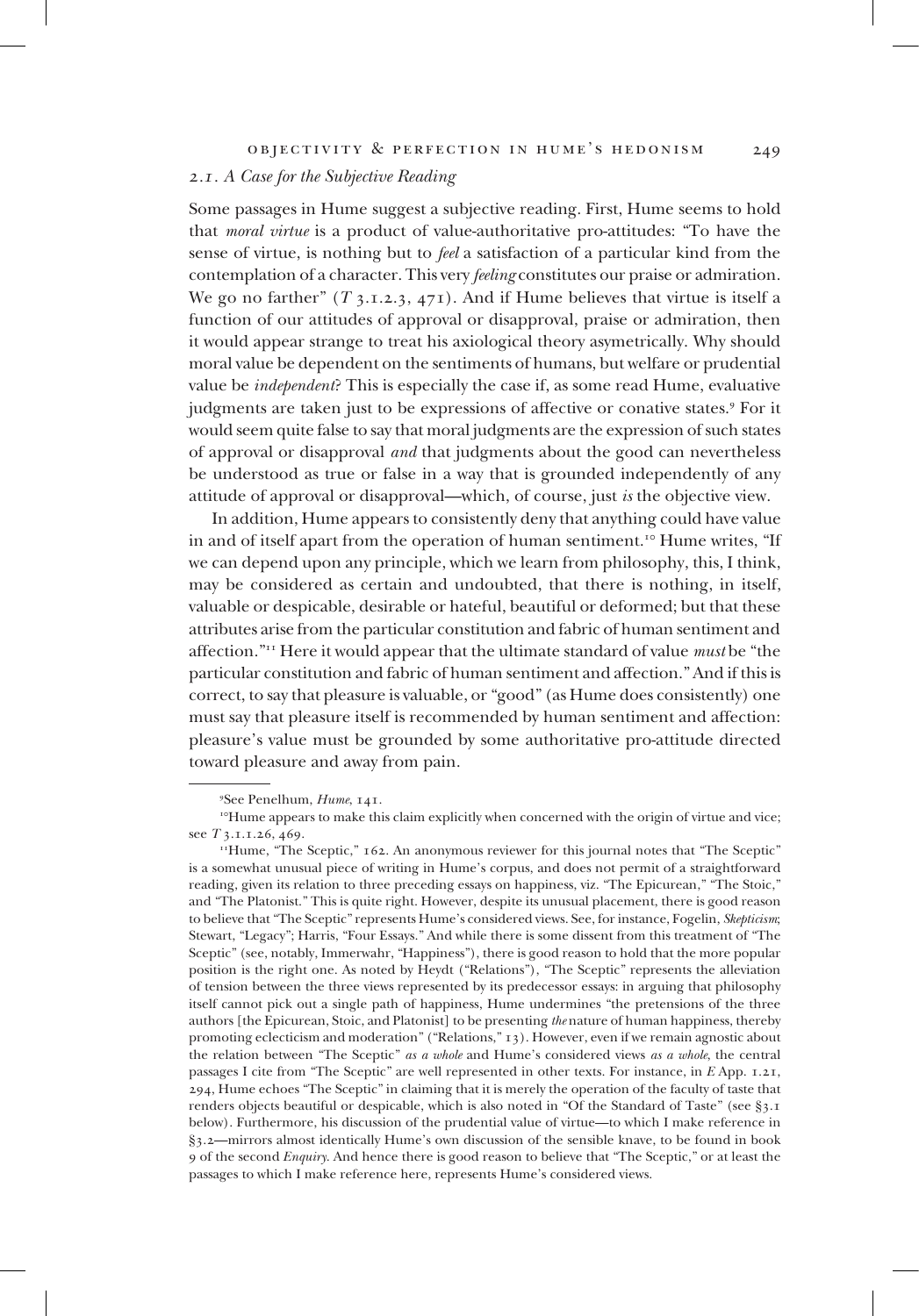#### *2.1. A Case for the Subjective Reading*

Some passages in Hume suggest a subjective reading. First, Hume seems to hold that *moral virtue* is a product of value-authoritative pro-attitudes: "To have the sense of virtue, is nothing but to *feel* a satisfaction of a particular kind from the contemplation of a character. This very *feeling* constitutes our praise or admiration. We go no farther"  $(T, 3, 1, 2, 3, 471)$ . And if Hume believes that virtue is itself a function of our attitudes of approval or disapproval, praise or admiration, then it would appear strange to treat his axiological theory asymetrically. Why should moral value be dependent on the sentiments of humans, but welfare or prudential value be *independent*? This is especially the case if, as some read Hume, evaluative judgments are taken just to be expressions of affective or conative states.<sup>9</sup> For it would seem quite false to say that moral judgments are the expression of such states of approval or disapproval *and* that judgments about the good can nevertheless be understood as true or false in a way that is grounded independently of any attitude of approval or disapproval—which, of course, just *is* the objective view.

In addition, Hume appears to consistently deny that anything could have value in and of itself apart from the operation of human sentiment.<sup>10</sup> Hume writes, "If we can depend upon any principle, which we learn from philosophy, this, I think, may be considered as certain and undoubted, that there is nothing, in itself, valuable or despicable, desirable or hateful, beautiful or deformed; but that these attributes arise from the particular constitution and fabric of human sentiment and affection."<sup>11</sup> Here it would appear that the ultimate standard of value *must* be "the particular constitution and fabric of human sentiment and affection." And if this is correct, to say that pleasure is valuable, or "good" (as Hume does consistently) one must say that pleasure itself is recommended by human sentiment and affection: pleasure's value must be grounded by some authoritative pro-attitude directed toward pleasure and away from pain.

<sup>9</sup> See Penelhum, *Hume*, 141.

<sup>10</sup>Hume appears to make this claim explicitly when concerned with the origin of virtue and vice; see *T* 3.1.1.26, 469.

<sup>11</sup>Hume, "The Sceptic," 162. An anonymous reviewer for this journal notes that "The Sceptic" is a somewhat unusual piece of writing in Hume's corpus, and does not permit of a straightforward reading, given its relation to three preceding essays on happiness, viz. "The Epicurean," "The Stoic," and "The Platonist." This is quite right. However, despite its unusual placement, there is good reason to believe that "The Sceptic" represents Hume's considered views. See, for instance, Fogelin, *Skepticism*; Stewart, "Legacy"; Harris, "Four Essays." And while there is some dissent from this treatment of "The Sceptic" (see, notably, Immerwahr, "Happiness"), there is good reason to hold that the more popular position is the right one. As noted by Heydt ("Relations"), "The Sceptic" represents the alleviation of tension between the three views represented by its predecessor essays: in arguing that philosophy itself cannot pick out a single path of happiness, Hume undermines "the pretensions of the three authors [the Epicurean, Stoic, and Platonist] to be presenting *the* nature of human happiness, thereby promoting eclecticism and moderation" ("Relations," 13). However, even if we remain agnostic about the relation between "The Sceptic" *as a whole* and Hume's considered views *as a whole*, the central passages I cite from "The Sceptic" are well represented in other texts. For instance, in *E* App. 1.21, 294, Hume echoes "The Sceptic" in claiming that it is merely the operation of the faculty of taste that renders objects beautiful or despicable, which is also noted in "Of the Standard of Taste" (see §3.1 below). Furthermore, his discussion of the prudential value of virtue—to which I make reference in §3.2—mirrors almost identically Hume's own discussion of the sensible knave, to be found in book 9 of the second *Enquiry*. And hence there is good reason to believe that "The Sceptic," or at least the passages to which I make reference here, represents Hume's considered views.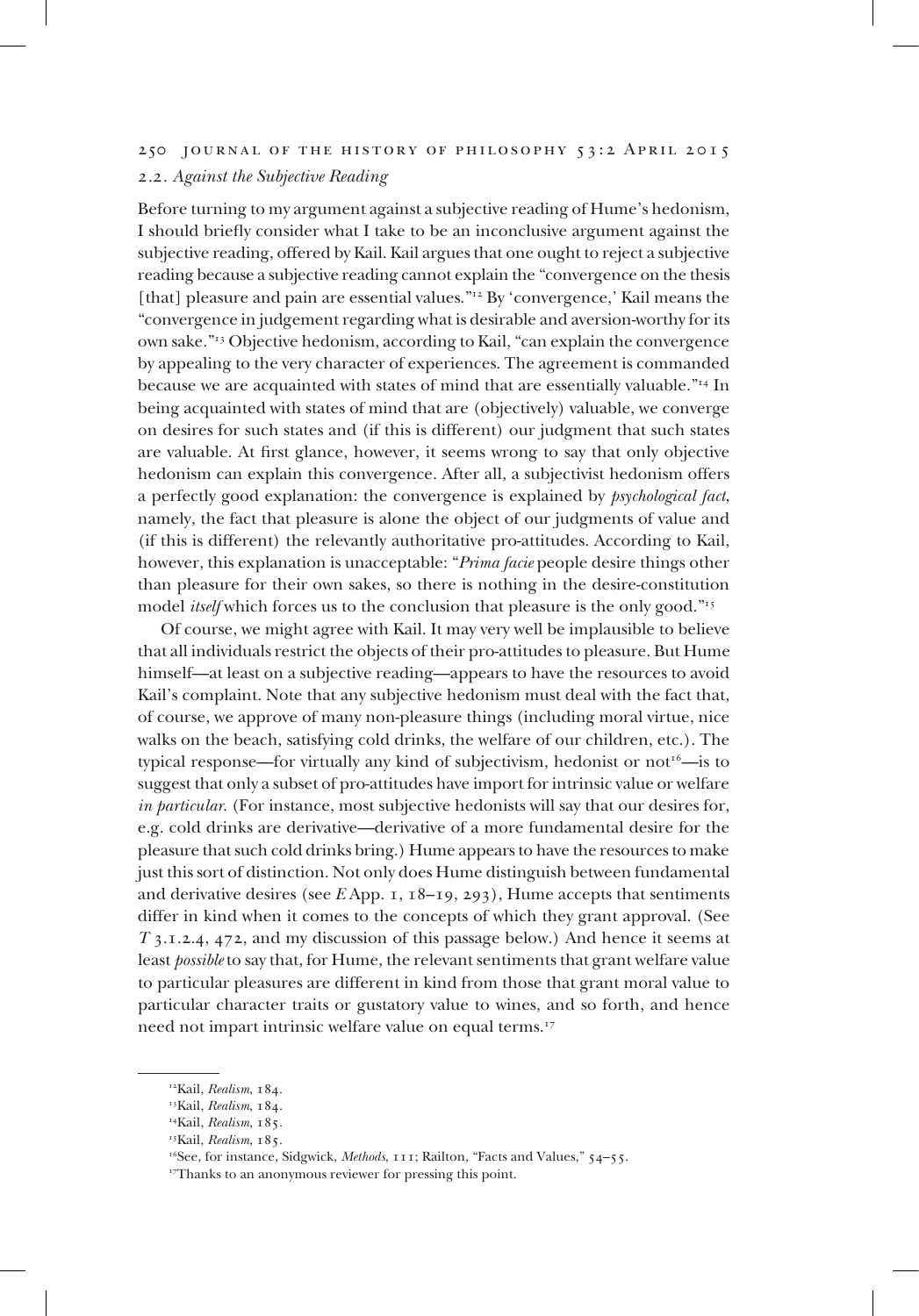#### *2.2. Against the Subjective Reading*

Before turning to my argument against a subjective reading of Hume's hedonism, I should briefly consider what I take to be an inconclusive argument against the subjective reading, offered by Kail. Kail argues that one ought to reject a subjective reading because a subjective reading cannot explain the "convergence on the thesis [that] pleasure and pain are essential values."<sup>12</sup> By 'convergence,' Kail means the "convergence in judgement regarding what is desirable and aversion-worthy for its own sake."<sup>13</sup> Objective hedonism, according to Kail, "can explain the convergence by appealing to the very character of experiences. The agreement is commanded because we are acquainted with states of mind that are essentially valuable."<sup>14</sup> In being acquainted with states of mind that are (objectively) valuable, we converge on desires for such states and (if this is different) our judgment that such states are valuable. At first glance, however, it seems wrong to say that only objective hedonism can explain this convergence. After all, a subjectivist hedonism offers a perfectly good explanation: the convergence is explained by *psychological fact*, namely, the fact that pleasure is alone the object of our judgments of value and (if this is different) the relevantly authoritative pro-attitudes. According to Kail, however, this explanation is unacceptable: "*Prima facie* people desire things other than pleasure for their own sakes, so there is nothing in the desire-constitution model *itself* which forces us to the conclusion that pleasure is the only good."<sup>15</sup>

Of course, we might agree with Kail. It may very well be implausible to believe that all individuals restrict the objects of their pro-attitudes to pleasure. But Hume himself—at least on a subjective reading—appears to have the resources to avoid Kail's complaint. Note that any subjective hedonism must deal with the fact that, of course, we approve of many non-pleasure things (including moral virtue, nice walks on the beach, satisfying cold drinks, the welfare of our children, etc.). The typical response—for virtually any kind of subjectivism, hedonist or not<sup>16</sup>—is to suggest that only a subset of pro-attitudes have import for intrinsic value or welfare *in particular*. (For instance, most subjective hedonists will say that our desires for, e.g. cold drinks are derivative—derivative of a more fundamental desire for the pleasure that such cold drinks bring.) Hume appears to have the resources to make just this sort of distinction. Not only does Hume distinguish between fundamental and derivative desires (see *E* App. 1, 18–19, 293), Hume accepts that sentiments differ in kind when it comes to the concepts of which they grant approval. (See *T* 3.1.2.4, 472, and my discussion of this passage below.) And hence it seems at least *possible* to say that, for Hume, the relevant sentiments that grant welfare value to particular pleasures are different in kind from those that grant moral value to particular character traits or gustatory value to wines, and so forth, and hence need not impart intrinsic welfare value on equal terms.<sup>17</sup>

<sup>12</sup>Kail, *Realism*, 184.

<sup>13</sup>Kail, *Realism*, 184.

<sup>14</sup>Kail, *Realism*, 185.

<sup>15</sup>Kail, *Realism*, 185.

<sup>&</sup>lt;sup>16</sup>See, for instance, Sidgwick, *Methods*, III; Railton, "Facts and Values," 54-55.

<sup>&</sup>lt;sup>17</sup>Thanks to an anonymous reviewer for pressing this point.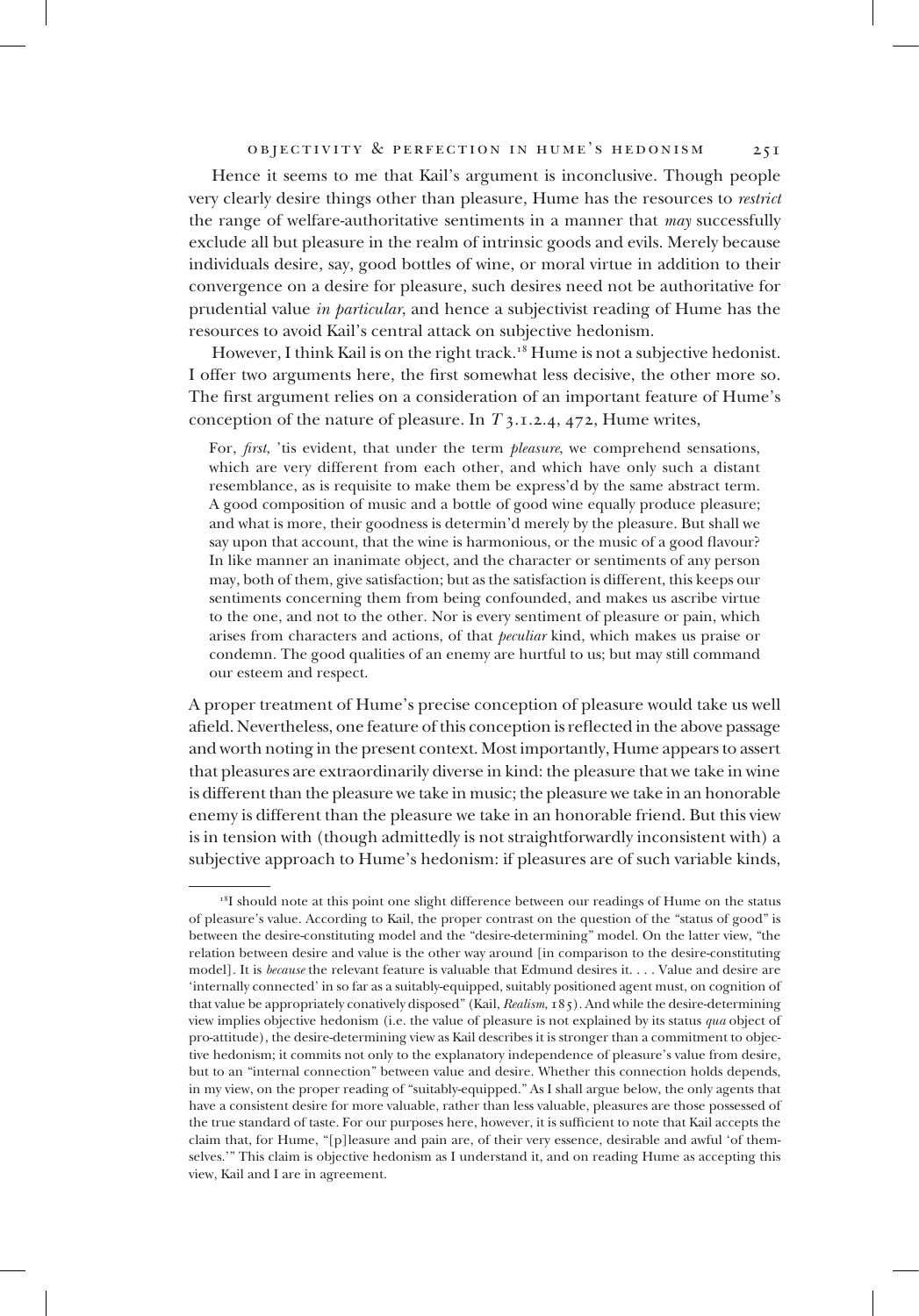Hence it seems to me that Kail's argument is inconclusive. Though people very clearly desire things other than pleasure, Hume has the resources to *restrict* the range of welfare-authoritative sentiments in a manner that *may* successfully exclude all but pleasure in the realm of intrinsic goods and evils. Merely because individuals desire, say, good bottles of wine, or moral virtue in addition to their convergence on a desire for pleasure, such desires need not be authoritative for prudential value *in particular*, and hence a subjectivist reading of Hume has the resources to avoid Kail's central attack on subjective hedonism.

However, I think Kail is on the right track.<sup>18</sup> Hume is not a subjective hedonist. I offer two arguments here, the first somewhat less decisive, the other more so. The first argument relies on a consideration of an important feature of Hume's conception of the nature of pleasure. In *T* 3.1.2.4, 472, Hume writes,

For, *first*, 'tis evident, that under the term *pleasure*, we comprehend sensations, which are very different from each other, and which have only such a distant resemblance, as is requisite to make them be express'd by the same abstract term. A good composition of music and a bottle of good wine equally produce pleasure; and what is more, their goodness is determin'd merely by the pleasure. But shall we say upon that account, that the wine is harmonious, or the music of a good flavour? In like manner an inanimate object, and the character or sentiments of any person may, both of them, give satisfaction; but as the satisfaction is different, this keeps our sentiments concerning them from being confounded, and makes us ascribe virtue to the one, and not to the other. Nor is every sentiment of pleasure or pain, which arises from characters and actions, of that *peculiar* kind, which makes us praise or condemn. The good qualities of an enemy are hurtful to us; but may still command our esteem and respect.

A proper treatment of Hume's precise conception of pleasure would take us well afield. Nevertheless, one feature of this conception is reflected in the above passage and worth noting in the present context. Most importantly, Hume appears to assert that pleasures are extraordinarily diverse in kind: the pleasure that we take in wine is different than the pleasure we take in music; the pleasure we take in an honorable enemy is different than the pleasure we take in an honorable friend. But this view is in tension with (though admittedly is not straightforwardly inconsistent with) a subjective approach to Hume's hedonism: if pleasures are of such variable kinds,

<sup>&</sup>lt;sup>18</sup>I should note at this point one slight difference between our readings of Hume on the status of pleasure's value. According to Kail, the proper contrast on the question of the "status of good" is between the desire-constituting model and the "desire-determining" model. On the latter view, "the relation between desire and value is the other way around [in comparison to the desire-constituting model]. It is *because* the relevant feature is valuable that Edmund desires it. . . . Value and desire are 'internally connected' in so far as a suitably-equipped, suitably positioned agent must, on cognition of that value be appropriately conatively disposed" (Kail, *Realism*, 185). And while the desire-determining view implies objective hedonism (i.e. the value of pleasure is not explained by its status *qua* object of pro-attitude), the desire-determining view as Kail describes it is stronger than a commitment to objective hedonism; it commits not only to the explanatory independence of pleasure's value from desire, but to an "internal connection" between value and desire. Whether this connection holds depends, in my view, on the proper reading of "suitably-equipped." As I shall argue below, the only agents that have a consistent desire for more valuable, rather than less valuable, pleasures are those possessed of the true standard of taste. For our purposes here, however, it is sufficient to note that Kail accepts the claim that, for Hume, "[p]leasure and pain are, of their very essence, desirable and awful 'of themselves.'" This claim is objective hedonism as I understand it, and on reading Hume as accepting this view, Kail and I are in agreement.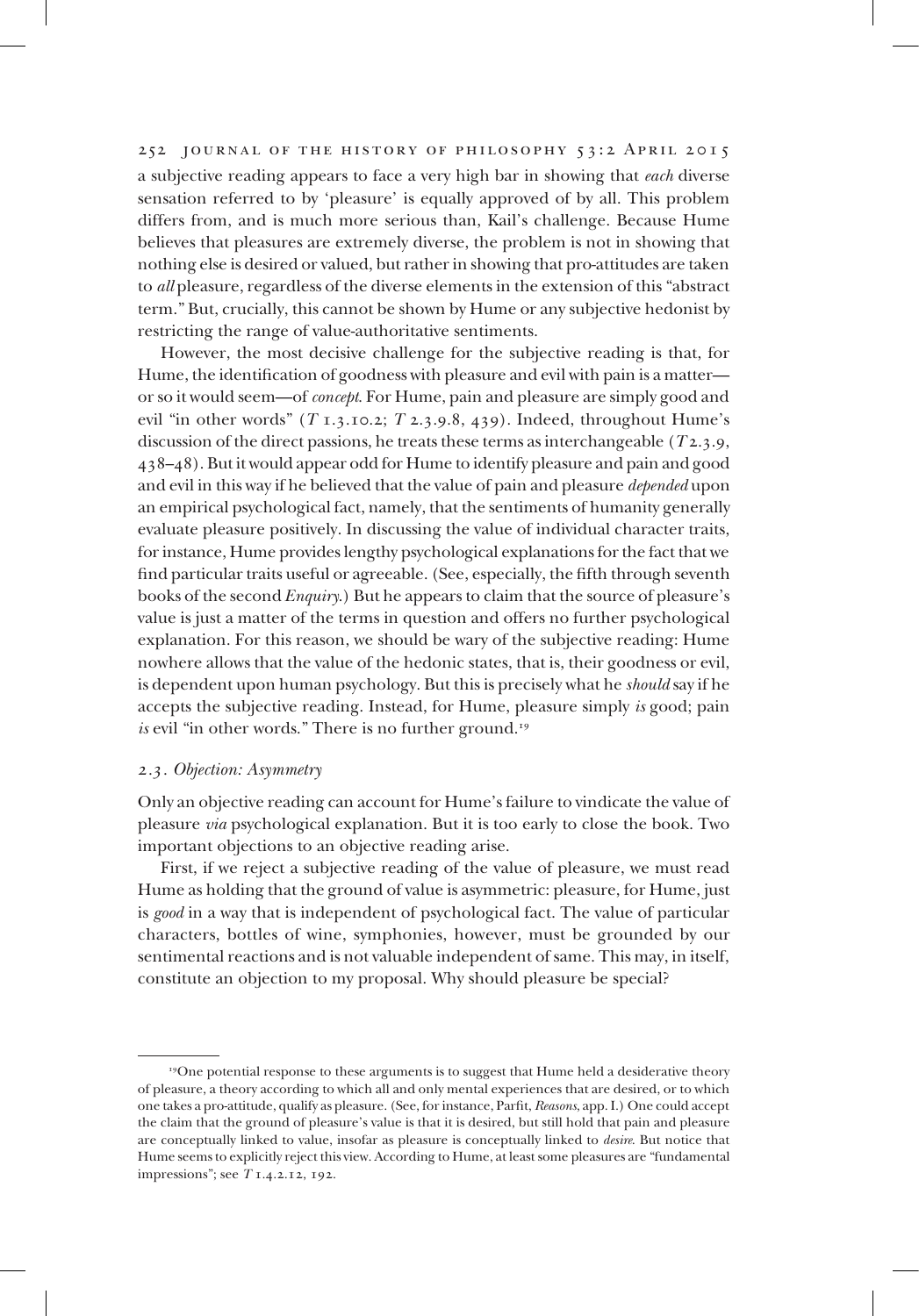a subjective reading appears to face a very high bar in showing that *each* diverse sensation referred to by 'pleasure' is equally approved of by all. This problem differs from, and is much more serious than, Kail's challenge. Because Hume believes that pleasures are extremely diverse, the problem is not in showing that nothing else is desired or valued, but rather in showing that pro-attitudes are taken to *all* pleasure, regardless of the diverse elements in the extension of this "abstract term." But, crucially, this cannot be shown by Hume or any subjective hedonist by restricting the range of value-authoritative sentiments.

However, the most decisive challenge for the subjective reading is that, for Hume, the identification of goodness with pleasure and evil with pain is a matter or so it would seem—of *concept*. For Hume, pain and pleasure are simply good and evil "in other words" (*T* 1.3.10.2; *T* 2.3.9.8, 439). Indeed, throughout Hume's discussion of the direct passions, he treats these terms as interchangeable (*T* 2.3.9, 438–48). But it would appear odd for Hume to identify pleasure and pain and good and evil in this way if he believed that the value of pain and pleasure *depended* upon an empirical psychological fact, namely, that the sentiments of humanity generally evaluate pleasure positively. In discussing the value of individual character traits, for instance, Hume provides lengthy psychological explanations for the fact that we find particular traits useful or agreeable. (See, especially, the fifth through seventh books of the second *Enquiry*.) But he appears to claim that the source of pleasure's value is just a matter of the terms in question and offers no further psychological explanation. For this reason, we should be wary of the subjective reading: Hume nowhere allows that the value of the hedonic states, that is, their goodness or evil, is dependent upon human psychology. But this is precisely what he *should* say if he accepts the subjective reading. Instead, for Hume, pleasure simply *is* good; pain *is* evil "in other words." There is no further ground.<sup>19</sup>

#### *2.3. Objection: Asymmetry*

Only an objective reading can account for Hume's failure to vindicate the value of pleasure *via* psychological explanation. But it is too early to close the book. Two important objections to an objective reading arise.

First, if we reject a subjective reading of the value of pleasure, we must read Hume as holding that the ground of value is asymmetric: pleasure, for Hume, just is *good* in a way that is independent of psychological fact. The value of particular characters, bottles of wine, symphonies, however, must be grounded by our sentimental reactions and is not valuable independent of same. This may, in itself, constitute an objection to my proposal. Why should pleasure be special?

<sup>&</sup>lt;sup>19</sup>One potential response to these arguments is to suggest that Hume held a desiderative theory of pleasure, a theory according to which all and only mental experiences that are desired, or to which one takes a pro-attitude, qualify as pleasure. (See, for instance, Parfit, *Reasons*, app. I.) One could accept the claim that the ground of pleasure's value is that it is desired, but still hold that pain and pleasure are conceptually linked to value, insofar as pleasure is conceptually linked to *desire*. But notice that Hume seems to explicitly reject this view. According to Hume, at least some pleasures are "fundamental impressions"; see *T* 1.4.2.12, 192.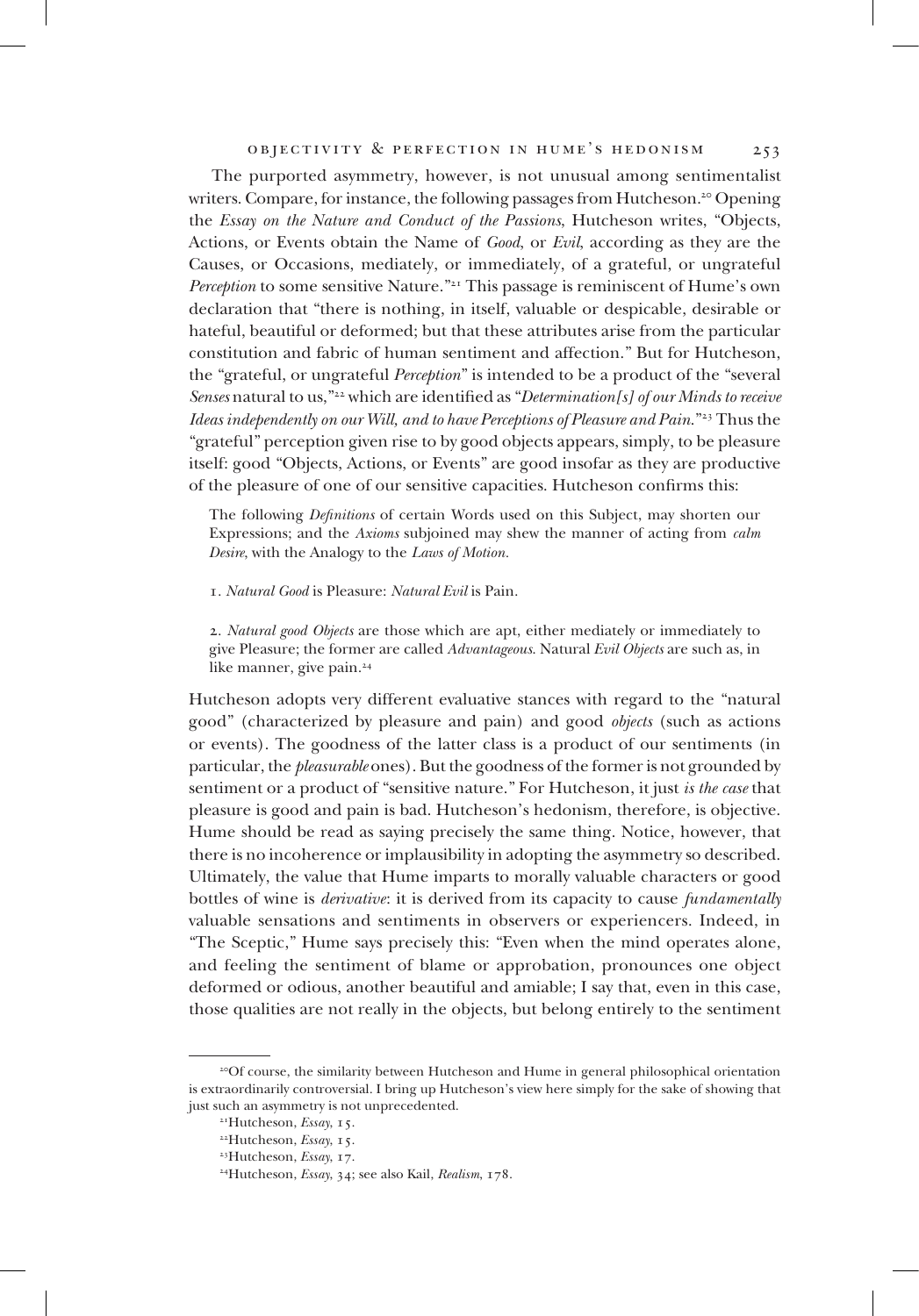#### objectivity & perfection in hume's hedonism 253

The purported asymmetry, however, is not unusual among sentimentalist writers. Compare, for instance, the following passages from Hutcheson.<sup>20</sup> Opening the *Essay on the Nature and Conduct of the Passions*, Hutcheson writes, "Objects, Actions, or Events obtain the Name of *Good*, or *Evil*, according as they are the Causes, or Occasions, mediately, or immediately, of a grateful, or ungrateful *Perception* to some sensitive Nature."<sup>21</sup> This passage is reminiscent of Hume's own declaration that "there is nothing, in itself, valuable or despicable, desirable or hateful, beautiful or deformed; but that these attributes arise from the particular constitution and fabric of human sentiment and affection." But for Hutcheson, the "grateful, or ungrateful *Perception*" is intended to be a product of the "several *Senses* natural to us,"<sup>22</sup> which are identified as "*Determination[s] of our Minds to receive Ideas independently on our Will, and to have Perceptions of Pleasure and Pain*."<sup>23</sup> Thus the "grateful" perception given rise to by good objects appears, simply, to be pleasure itself: good "Objects, Actions, or Events" are good insofar as they are productive of the pleasure of one of our sensitive capacities. Hutcheson confirms this:

The following *Definitions* of certain Words used on this Subject, may shorten our Expressions; and the *Axioms* subjoined may shew the manner of acting from *calm Desire*, with the Analogy to the *Laws of Motion.*

1. *Natural Good* is Pleasure: *Natural Evil* is Pain.

2. *Natural good Objects* are those which are apt, either mediately or immediately to give Pleasure; the former are called *Advantageous*. Natural *Evil Objects* are such as, in like manner, give pain.<sup>24</sup>

Hutcheson adopts very different evaluative stances with regard to the "natural good" (characterized by pleasure and pain) and good *objects* (such as actions or events). The goodness of the latter class is a product of our sentiments (in particular, the *pleasurable* ones). But the goodness of the former is not grounded by sentiment or a product of "sensitive nature." For Hutcheson, it just *is the case* that pleasure is good and pain is bad. Hutcheson's hedonism, therefore, is objective. Hume should be read as saying precisely the same thing. Notice, however, that there is no incoherence or implausibility in adopting the asymmetry so described. Ultimately, the value that Hume imparts to morally valuable characters or good bottles of wine is *derivative*: it is derived from its capacity to cause *fundamentally* valuable sensations and sentiments in observers or experiencers. Indeed, in "The Sceptic," Hume says precisely this: "Even when the mind operates alone, and feeling the sentiment of blame or approbation, pronounces one object deformed or odious, another beautiful and amiable; I say that, even in this case, those qualities are not really in the objects, but belong entirely to the sentiment

<sup>20</sup>Of course, the similarity between Hutcheson and Hume in general philosophical orientation is extraordinarily controversial. I bring up Hutcheson's view here simply for the sake of showing that just such an asymmetry is not unprecedented.

<sup>21</sup>Hutcheson, *Essay*, 15.

<sup>22</sup>Hutcheson, *Essay*, 15.

<sup>23</sup>Hutcheson, *Essay*, 17.

<sup>24</sup>Hutcheson, *Essay*, 34; see also Kail, *Realism*, 178.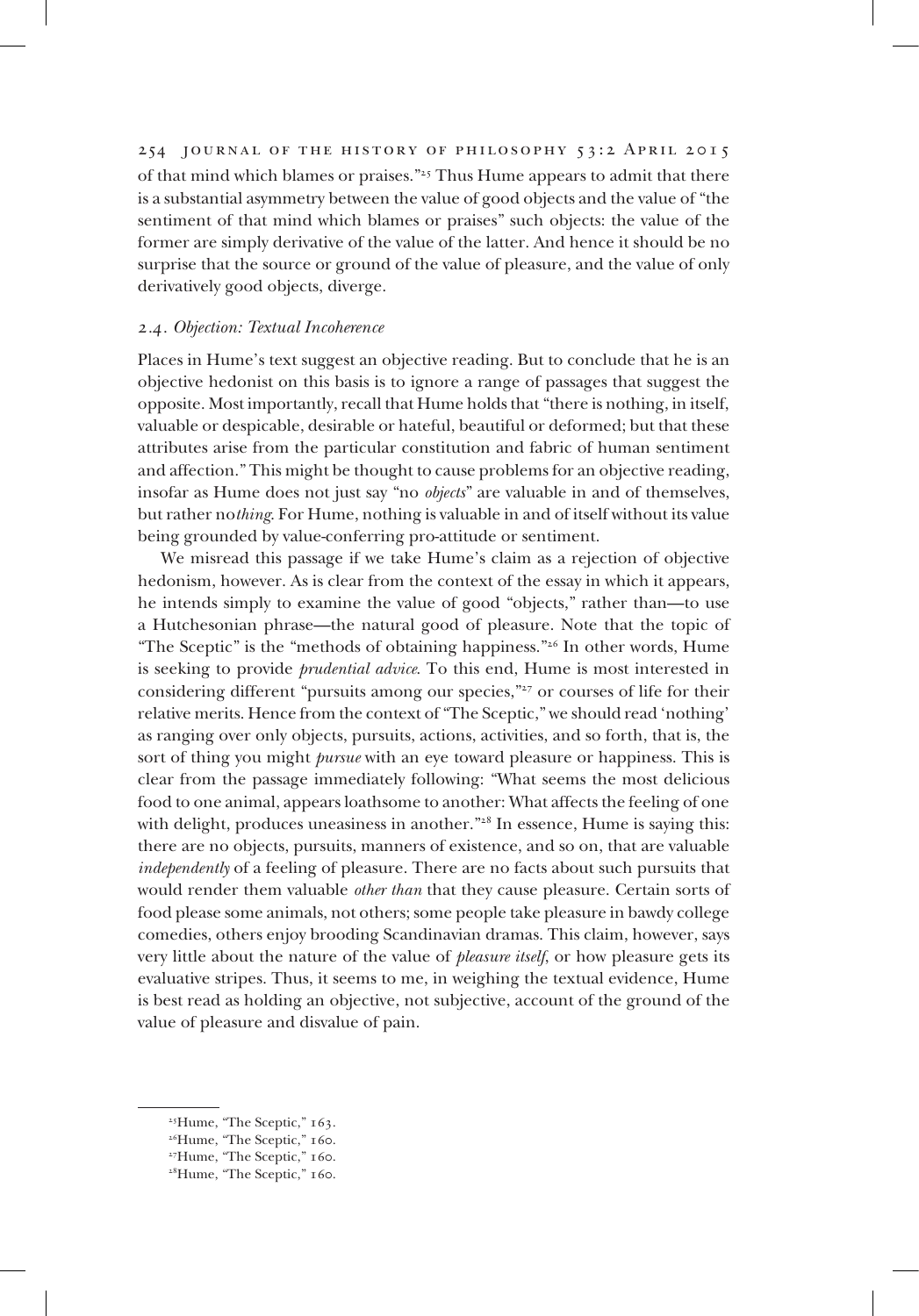254 journal of the history of philosophy 53:2 April 2015 of that mind which blames or praises."<sup>25</sup> Thus Hume appears to admit that there is a substantial asymmetry between the value of good objects and the value of "the sentiment of that mind which blames or praises" such objects: the value of the former are simply derivative of the value of the latter. And hence it should be no surprise that the source or ground of the value of pleasure, and the value of only derivatively good objects, diverge.

#### *2.4. Objection: Textual Incoherence*

Places in Hume's text suggest an objective reading. But to conclude that he is an objective hedonist on this basis is to ignore a range of passages that suggest the opposite. Most importantly, recall that Hume holds that "there is nothing, in itself, valuable or despicable, desirable or hateful, beautiful or deformed; but that these attributes arise from the particular constitution and fabric of human sentiment and affection." This might be thought to cause problems for an objective reading, insofar as Hume does not just say "no *objects*" are valuable in and of themselves, but rather no*thing*. For Hume, nothing is valuable in and of itself without its value being grounded by value-conferring pro-attitude or sentiment.

We misread this passage if we take Hume's claim as a rejection of objective hedonism, however. As is clear from the context of the essay in which it appears, he intends simply to examine the value of good "objects," rather than—to use a Hutchesonian phrase—the natural good of pleasure. Note that the topic of "The Sceptic" is the "methods of obtaining happiness."<sup>26</sup> In other words, Hume is seeking to provide *prudential advice*. To this end, Hume is most interested in considering different "pursuits among our species,"<sup>27</sup> or courses of life for their relative merits. Hence from the context of "The Sceptic," we should read 'nothing' as ranging over only objects, pursuits, actions, activities, and so forth, that is, the sort of thing you might *pursue* with an eye toward pleasure or happiness. This is clear from the passage immediately following: "What seems the most delicious food to one animal, appears loathsome to another: What affects the feeling of one with delight, produces uneasiness in another."<sup>28</sup> In essence, Hume is saying this: there are no objects, pursuits, manners of existence, and so on, that are valuable *independently* of a feeling of pleasure. There are no facts about such pursuits that would render them valuable *other than* that they cause pleasure. Certain sorts of food please some animals, not others; some people take pleasure in bawdy college comedies, others enjoy brooding Scandinavian dramas. This claim, however, says very little about the nature of the value of *pleasure itself*, or how pleasure gets its evaluative stripes. Thus, it seems to me, in weighing the textual evidence, Hume is best read as holding an objective, not subjective, account of the ground of the value of pleasure and disvalue of pain.

<sup>25</sup>Hume, "The Sceptic," 163.

<sup>26</sup>Hume, "The Sceptic," 160.

<sup>27</sup>Hume, "The Sceptic," 160.

<sup>28</sup>Hume, "The Sceptic," 160.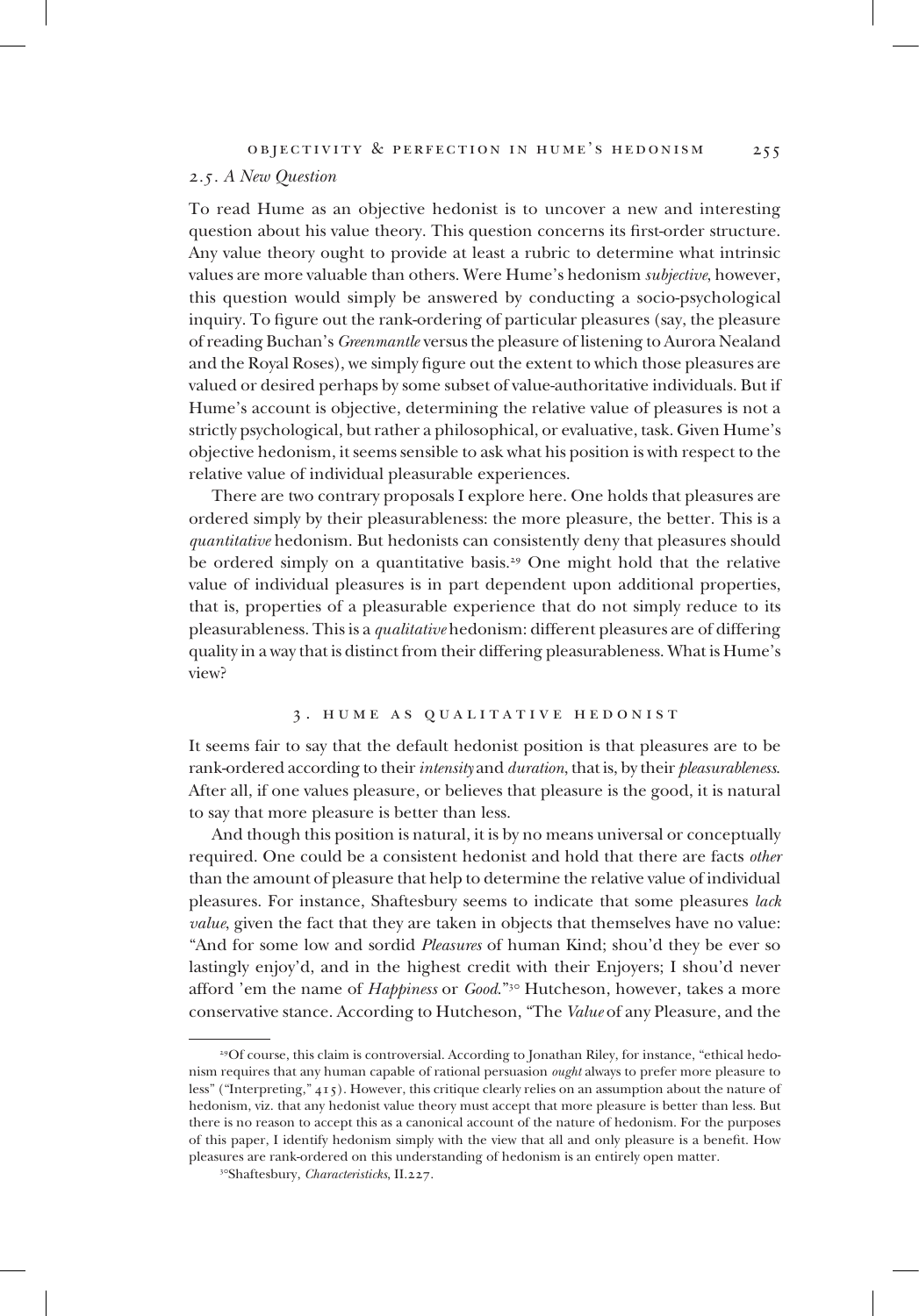#### *2.5. A New Question*

To read Hume as an objective hedonist is to uncover a new and interesting question about his value theory. This question concerns its first-order structure. Any value theory ought to provide at least a rubric to determine what intrinsic values are more valuable than others. Were Hume's hedonism *subjective*, however, this question would simply be answered by conducting a socio-psychological inquiry. To figure out the rank-ordering of particular pleasures (say, the pleasure of reading Buchan's *Greenmantle* versus the pleasure of listening to Aurora Nealand and the Royal Roses), we simply figure out the extent to which those pleasures are valued or desired perhaps by some subset of value-authoritative individuals. But if Hume's account is objective, determining the relative value of pleasures is not a strictly psychological, but rather a philosophical, or evaluative, task. Given Hume's objective hedonism, it seems sensible to ask what his position is with respect to the relative value of individual pleasurable experiences.

There are two contrary proposals I explore here. One holds that pleasures are ordered simply by their pleasurableness: the more pleasure, the better. This is a *quantitative* hedonism. But hedonists can consistently deny that pleasures should be ordered simply on a quantitative basis.<sup>29</sup> One might hold that the relative value of individual pleasures is in part dependent upon additional properties, that is, properties of a pleasurable experience that do not simply reduce to its pleasurableness. This is a *qualitative* hedonism: different pleasures are of differing quality in a way that is distinct from their differing pleasurableness. What is Hume's view?

#### 3 . hume as qualitative hedonist

It seems fair to say that the default hedonist position is that pleasures are to be rank-ordered according to their *intensity* and *duration*, that is, by their *pleasurableness*. After all, if one values pleasure, or believes that pleasure is the good, it is natural to say that more pleasure is better than less.

And though this position is natural, it is by no means universal or conceptually required. One could be a consistent hedonist and hold that there are facts *other* than the amount of pleasure that help to determine the relative value of individual pleasures. For instance, Shaftesbury seems to indicate that some pleasures *lack value*, given the fact that they are taken in objects that themselves have no value: "And for some low and sordid *Pleasures* of human Kind; shou'd they be ever so lastingly enjoy'd, and in the highest credit with their Enjoyers; I shou'd never afford 'em the name of *Happiness* or *Good*."<sup>30</sup> Hutcheson, however, takes a more conservative stance. According to Hutcheson, "The *Value* of any Pleasure, and the

<sup>29</sup>Of course, this claim is controversial. According to Jonathan Riley, for instance, "ethical hedonism requires that any human capable of rational persuasion *ought* always to prefer more pleasure to less" ("Interpreting," 415). However, this critique clearly relies on an assumption about the nature of hedonism, viz. that any hedonist value theory must accept that more pleasure is better than less. But there is no reason to accept this as a canonical account of the nature of hedonism. For the purposes of this paper, I identify hedonism simply with the view that all and only pleasure is a benefit. How pleasures are rank-ordered on this understanding of hedonism is an entirely open matter.

<sup>30</sup>Shaftesbury, *Characteristicks*, II.227.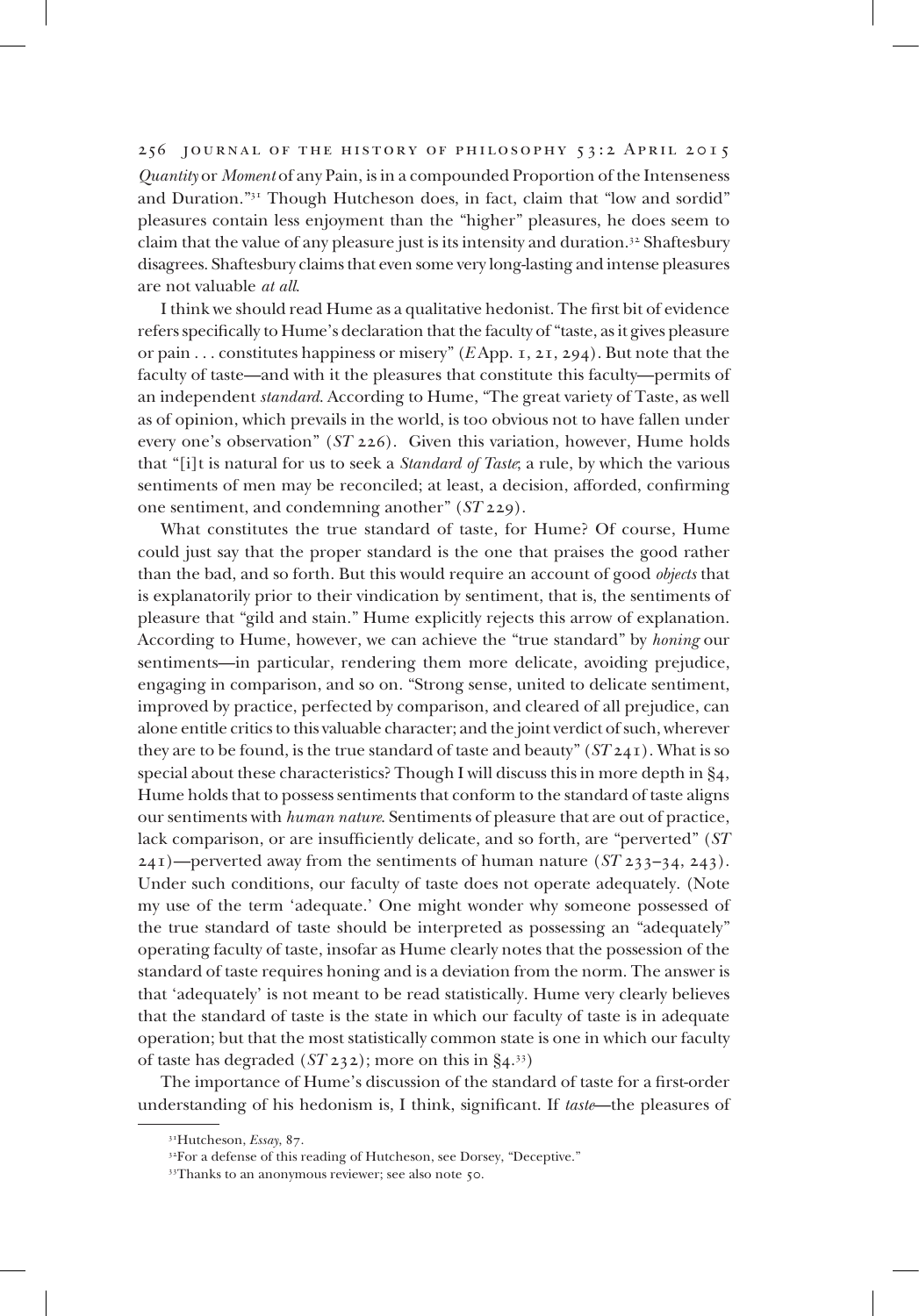*Quantity* or *Moment* of any Pain, is in a compounded Proportion of the Intenseness and Duration."<sup>31</sup> Though Hutcheson does, in fact, claim that "low and sordid" pleasures contain less enjoyment than the "higher" pleasures, he does seem to claim that the value of any pleasure just is its intensity and duration.<sup>32</sup> Shaftesbury disagrees. Shaftesbury claims that even some very long-lasting and intense pleasures are not valuable *at all*.

I think we should read Hume as a qualitative hedonist. The first bit of evidence refers specifically to Hume's declaration that the faculty of "taste, as it gives pleasure or pain . . . constitutes happiness or misery" (*E* App. 1, 21, 294). But note that the faculty of taste—and with it the pleasures that constitute this faculty—permits of an independent *standard*. According to Hume, "The great variety of Taste, as well as of opinion, which prevails in the world, is too obvious not to have fallen under every one's observation" (*ST* 226). Given this variation, however, Hume holds that "[i]t is natural for us to seek a *Standard of Taste*; a rule, by which the various sentiments of men may be reconciled; at least, a decision, afforded, confirming one sentiment, and condemning another" (*ST* 229).

What constitutes the true standard of taste, for Hume? Of course, Hume could just say that the proper standard is the one that praises the good rather than the bad, and so forth. But this would require an account of good *objects* that is explanatorily prior to their vindication by sentiment, that is, the sentiments of pleasure that "gild and stain." Hume explicitly rejects this arrow of explanation. According to Hume, however, we can achieve the "true standard" by *honing* our sentiments—in particular, rendering them more delicate, avoiding prejudice, engaging in comparison, and so on. "Strong sense, united to delicate sentiment, improved by practice, perfected by comparison, and cleared of all prejudice, can alone entitle critics to this valuable character; and the joint verdict of such, wherever they are to be found, is the true standard of taste and beauty" (*ST* 241). What is so special about these characteristics? Though I will discuss this in more depth in §4, Hume holds that to possess sentiments that conform to the standard of taste aligns our sentiments with *human nature*. Sentiments of pleasure that are out of practice, lack comparison, or are insufficiently delicate, and so forth, are "perverted" (*ST* 241)—perverted away from the sentiments of human nature (*ST* 233–34, 243). Under such conditions, our faculty of taste does not operate adequately. (Note my use of the term 'adequate.' One might wonder why someone possessed of the true standard of taste should be interpreted as possessing an "adequately" operating faculty of taste, insofar as Hume clearly notes that the possession of the standard of taste requires honing and is a deviation from the norm. The answer is that 'adequately' is not meant to be read statistically. Hume very clearly believes that the standard of taste is the state in which our faculty of taste is in adequate operation; but that the most statistically common state is one in which our faculty of taste has degraded (*ST* 232); more on this in §4. <sup>33</sup>)

The importance of Hume's discussion of the standard of taste for a first-order understanding of his hedonism is, I think, significant. If *taste*—the pleasures of

<sup>31</sup>Hutcheson, *Essay*, 87.

<sup>&</sup>lt;sup>32</sup>For a defense of this reading of Hutcheson, see Dorsey, "Deceptive."

<sup>33</sup>Thanks to an anonymous reviewer; see also note 50.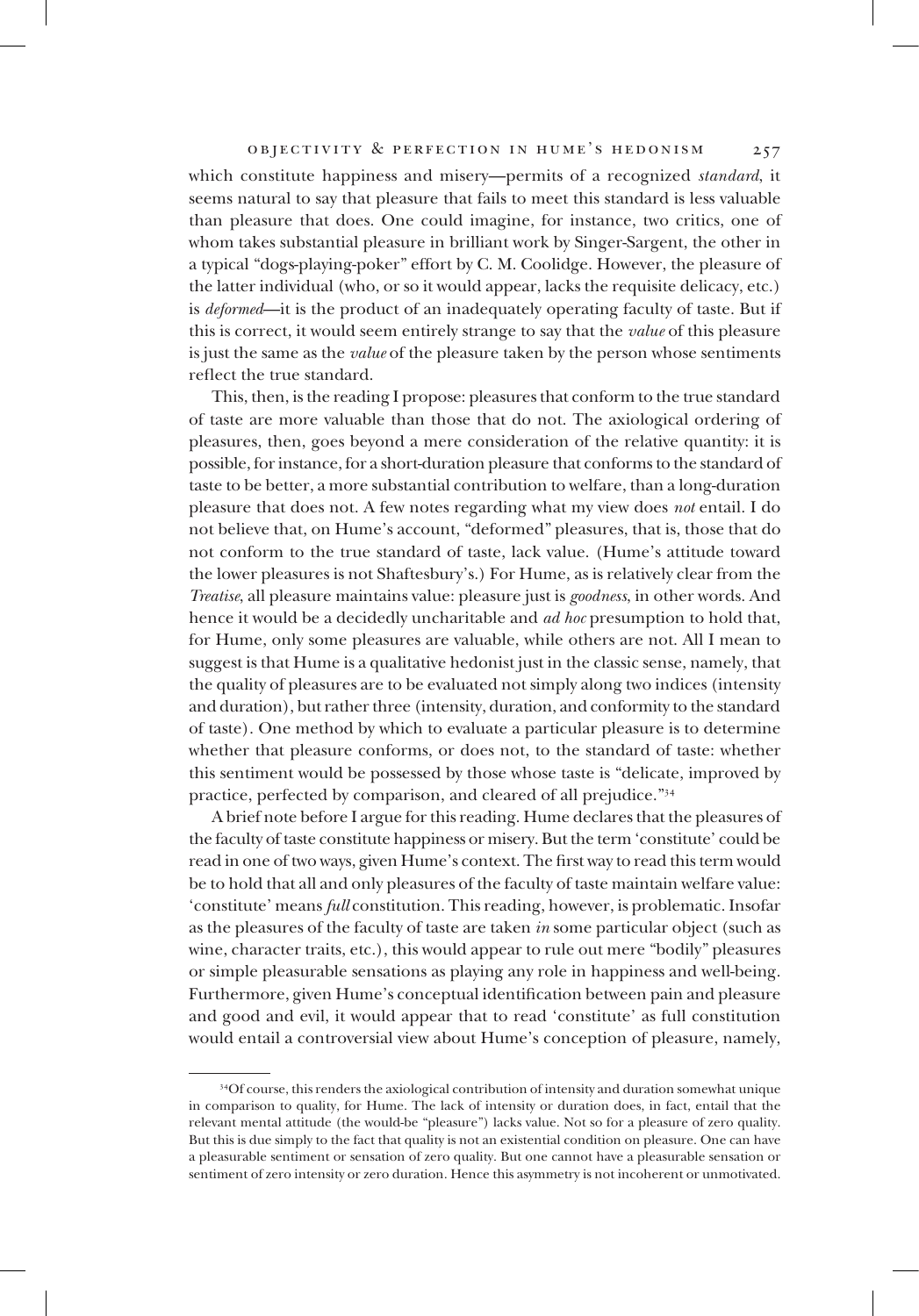which constitute happiness and misery—permits of a recognized *standard*, it seems natural to say that pleasure that fails to meet this standard is less valuable than pleasure that does. One could imagine, for instance, two critics, one of whom takes substantial pleasure in brilliant work by Singer-Sargent, the other in a typical "dogs-playing-poker" effort by C. M. Coolidge. However, the pleasure of the latter individual (who, or so it would appear, lacks the requisite delicacy, etc.) is *deformed*—it is the product of an inadequately operating faculty of taste. But if this is correct, it would seem entirely strange to say that the *value* of this pleasure is just the same as the *value* of the pleasure taken by the person whose sentiments reflect the true standard.

This, then, is the reading I propose: pleasures that conform to the true standard of taste are more valuable than those that do not. The axiological ordering of pleasures, then, goes beyond a mere consideration of the relative quantity: it is possible, for instance, for a short-duration pleasure that conforms to the standard of taste to be better, a more substantial contribution to welfare, than a long-duration pleasure that does not. A few notes regarding what my view does *not* entail. I do not believe that, on Hume's account, "deformed" pleasures, that is, those that do not conform to the true standard of taste, lack value. (Hume's attitude toward the lower pleasures is not Shaftesbury's.) For Hume, as is relatively clear from the *Treatise*, all pleasure maintains value: pleasure just is *goodness*, in other words. And hence it would be a decidedly uncharitable and *ad hoc* presumption to hold that, for Hume, only some pleasures are valuable, while others are not. All I mean to suggest is that Hume is a qualitative hedonist just in the classic sense, namely, that the quality of pleasures are to be evaluated not simply along two indices (intensity and duration), but rather three (intensity, duration, and conformity to the standard of taste). One method by which to evaluate a particular pleasure is to determine whether that pleasure conforms, or does not, to the standard of taste: whether this sentiment would be possessed by those whose taste is "delicate, improved by practice, perfected by comparison, and cleared of all prejudice."<sup>34</sup>

A brief note before I argue for this reading. Hume declares that the pleasures of the faculty of taste constitute happiness or misery. But the term 'constitute' could be read in one of two ways, given Hume's context. The first way to read this term would be to hold that all and only pleasures of the faculty of taste maintain welfare value: 'constitute' means *full* constitution. This reading, however, is problematic. Insofar as the pleasures of the faculty of taste are taken *in* some particular object (such as wine, character traits, etc.), this would appear to rule out mere "bodily" pleasures or simple pleasurable sensations as playing any role in happiness and well-being. Furthermore, given Hume's conceptual identification between pain and pleasure and good and evil, it would appear that to read 'constitute' as full constitution would entail a controversial view about Hume's conception of pleasure, namely,

<sup>34</sup>Of course, this renders the axiological contribution of intensity and duration somewhat unique in comparison to quality, for Hume. The lack of intensity or duration does, in fact, entail that the relevant mental attitude (the would-be "pleasure") lacks value. Not so for a pleasure of zero quality. But this is due simply to the fact that quality is not an existential condition on pleasure. One can have a pleasurable sentiment or sensation of zero quality. But one cannot have a pleasurable sensation or sentiment of zero intensity or zero duration. Hence this asymmetry is not incoherent or unmotivated.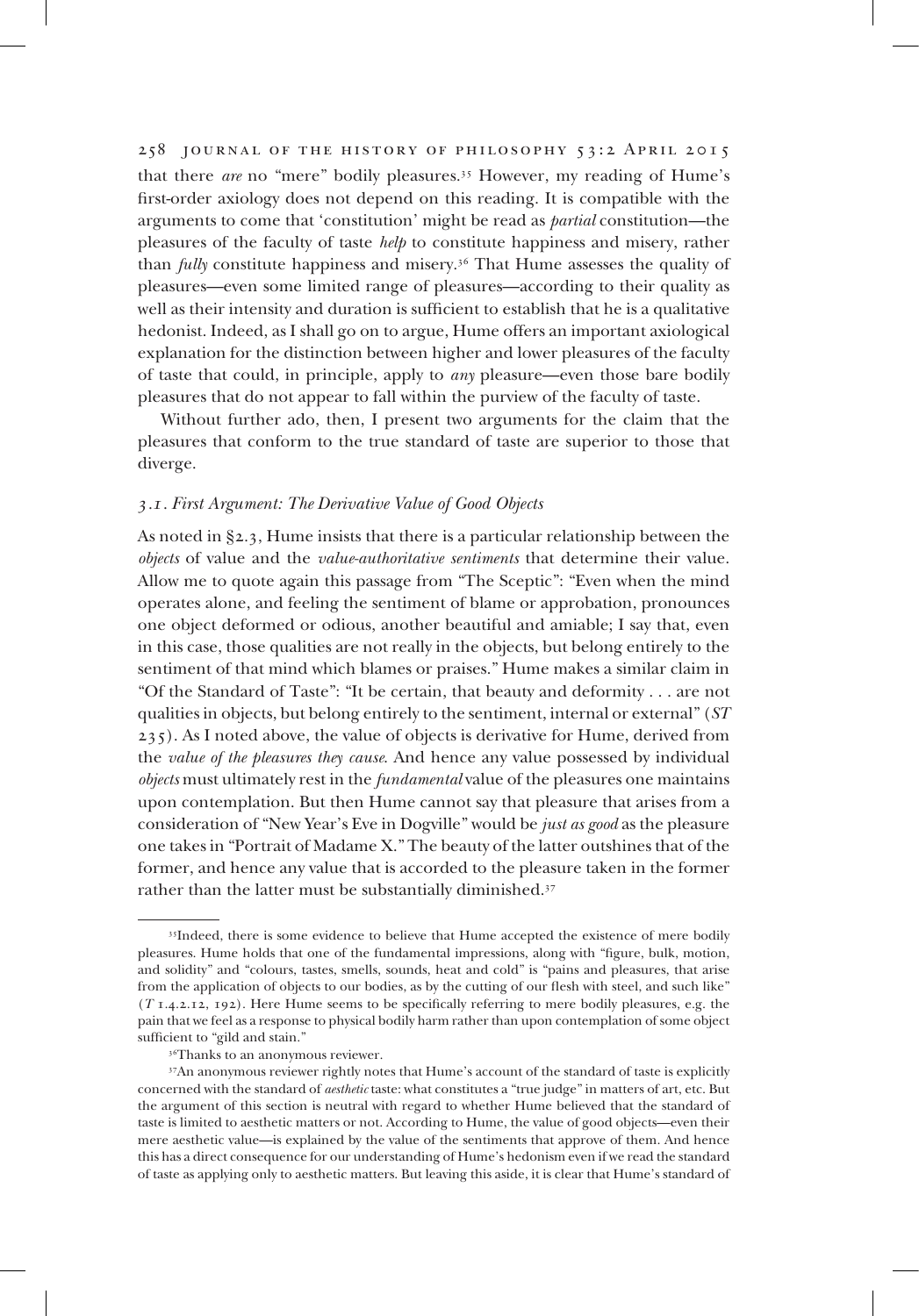that there *are* no "mere" bodily pleasures.<sup>35</sup> However, my reading of Hume's first-order axiology does not depend on this reading. It is compatible with the arguments to come that 'constitution' might be read as *partial* constitution—the pleasures of the faculty of taste *help* to constitute happiness and misery, rather than *fully* constitute happiness and misery.<sup>36</sup> That Hume assesses the quality of pleasures—even some limited range of pleasures—according to their quality as well as their intensity and duration is sufficient to establish that he is a qualitative hedonist. Indeed, as I shall go on to argue, Hume offers an important axiological explanation for the distinction between higher and lower pleasures of the faculty of taste that could, in principle, apply to *any* pleasure—even those bare bodily pleasures that do not appear to fall within the purview of the faculty of taste.

Without further ado, then, I present two arguments for the claim that the pleasures that conform to the true standard of taste are superior to those that diverge.

#### *3.1. First Argument: The Derivative Value of Good Objects*

As noted in §2.3, Hume insists that there is a particular relationship between the *objects* of value and the *value-authoritative sentiments* that determine their value. Allow me to quote again this passage from "The Sceptic": "Even when the mind operates alone, and feeling the sentiment of blame or approbation, pronounces one object deformed or odious, another beautiful and amiable; I say that, even in this case, those qualities are not really in the objects, but belong entirely to the sentiment of that mind which blames or praises." Hume makes a similar claim in "Of the Standard of Taste": "It be certain, that beauty and deformity . . . are not qualities in objects, but belong entirely to the sentiment, internal or external" (*ST* 235). As I noted above, the value of objects is derivative for Hume, derived from the *value of the pleasures they cause*. And hence any value possessed by individual *objects* must ultimately rest in the *fundamental* value of the pleasures one maintains upon contemplation. But then Hume cannot say that pleasure that arises from a consideration of "New Year's Eve in Dogville" would be *just as good* as the pleasure one takes in "Portrait of Madame X." The beauty of the latter outshines that of the former, and hence any value that is accorded to the pleasure taken in the former rather than the latter must be substantially diminished.<sup>37</sup>

<sup>35</sup>Indeed, there is some evidence to believe that Hume accepted the existence of mere bodily pleasures. Hume holds that one of the fundamental impressions, along with "figure, bulk, motion, and solidity" and "colours, tastes, smells, sounds, heat and cold" is "pains and pleasures, that arise from the application of objects to our bodies, as by the cutting of our flesh with steel, and such like" (*T* 1.4.2.12, 192). Here Hume seems to be specifically referring to mere bodily pleasures, e.g. the pain that we feel as a response to physical bodily harm rather than upon contemplation of some object sufficient to "gild and stain."

<sup>36</sup>Thanks to an anonymous reviewer.

<sup>37</sup>An anonymous reviewer rightly notes that Hume's account of the standard of taste is explicitly concerned with the standard of *aesthetic* taste: what constitutes a "true judge" in matters of art, etc. But the argument of this section is neutral with regard to whether Hume believed that the standard of taste is limited to aesthetic matters or not. According to Hume, the value of good objects—even their mere aesthetic value—is explained by the value of the sentiments that approve of them. And hence this has a direct consequence for our understanding of Hume's hedonism even if we read the standard of taste as applying only to aesthetic matters. But leaving this aside, it is clear that Hume's standard of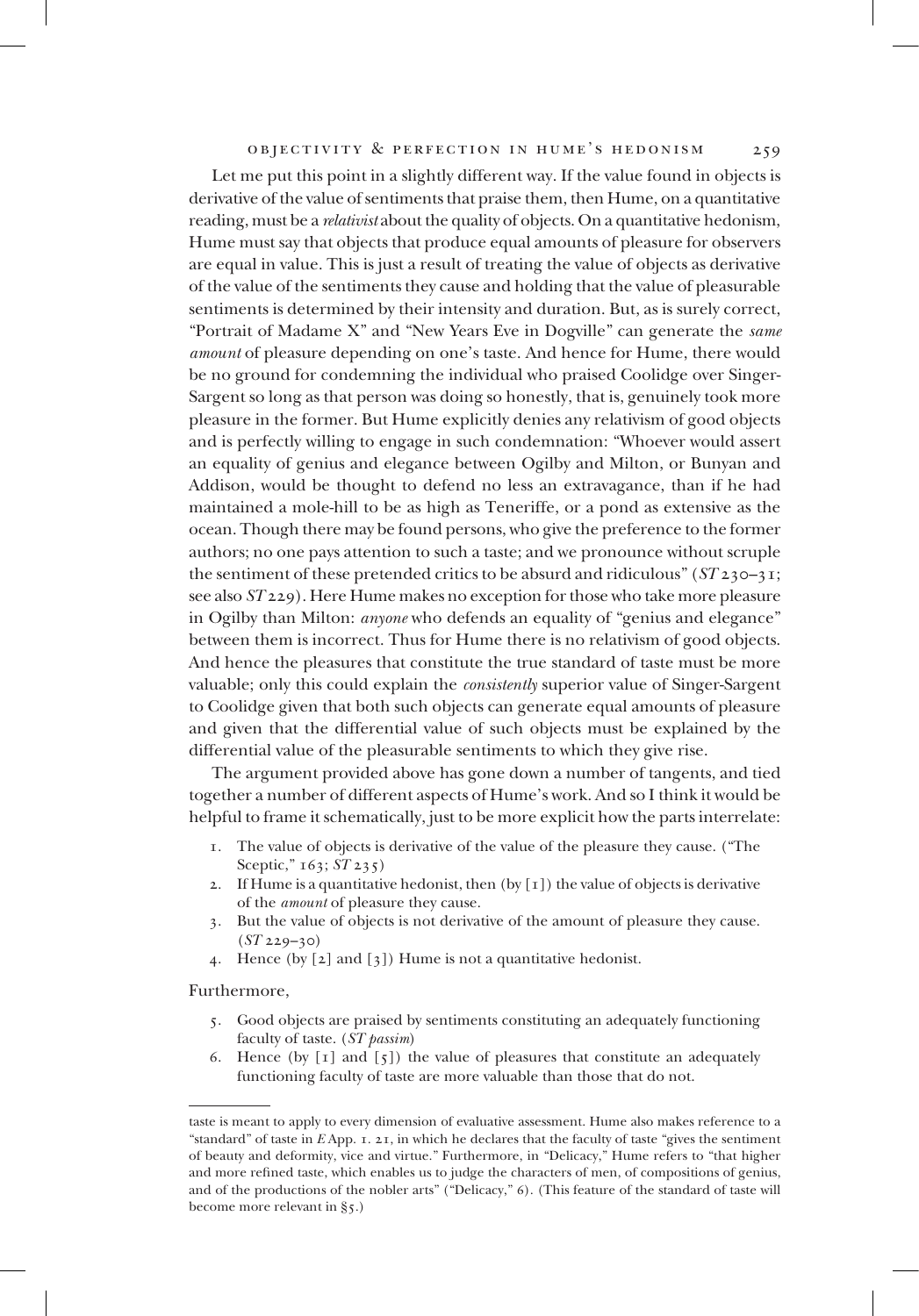#### objectivity & perfection in hume's hedonism 259

Let me put this point in a slightly different way. If the value found in objects is derivative of the value of sentiments that praise them, then Hume, on a quantitative reading, must be a *relativist* about the quality of objects. On a quantitative hedonism, Hume must say that objects that produce equal amounts of pleasure for observers are equal in value. This is just a result of treating the value of objects as derivative of the value of the sentiments they cause and holding that the value of pleasurable sentiments is determined by their intensity and duration. But, as is surely correct, "Portrait of Madame X" and "New Years Eve in Dogville" can generate the *same amount* of pleasure depending on one's taste. And hence for Hume, there would be no ground for condemning the individual who praised Coolidge over Singer-Sargent so long as that person was doing so honestly, that is, genuinely took more pleasure in the former. But Hume explicitly denies any relativism of good objects and is perfectly willing to engage in such condemnation: "Whoever would assert an equality of genius and elegance between Ogilby and Milton, or Bunyan and Addison, would be thought to defend no less an extravagance, than if he had maintained a mole-hill to be as high as Teneriffe, or a pond as extensive as the ocean. Though there may be found persons, who give the preference to the former authors; no one pays attention to such a taste; and we pronounce without scruple the sentiment of these pretended critics to be absurd and ridiculous" (*ST* 230–31; see also *ST* 229). Here Hume makes no exception for those who take more pleasure in Ogilby than Milton: *anyone* who defends an equality of "genius and elegance" between them is incorrect. Thus for Hume there is no relativism of good objects. And hence the pleasures that constitute the true standard of taste must be more valuable; only this could explain the *consistently* superior value of Singer-Sargent to Coolidge given that both such objects can generate equal amounts of pleasure and given that the differential value of such objects must be explained by the differential value of the pleasurable sentiments to which they give rise.

The argument provided above has gone down a number of tangents, and tied together a number of different aspects of Hume's work. And so I think it would be helpful to frame it schematically, just to be more explicit how the parts interrelate:

- 1. The value of objects is derivative of the value of the pleasure they cause. ("The Sceptic," 163; *ST* 235)
- 2. If Hume is a quantitative hedonist, then  $(by [r])$  the value of objects is derivative of the *amount* of pleasure they cause.
- 3. But the value of objects is not derivative of the amount of pleasure they cause. (*ST* 229–30)
- 4. Hence (by [2] and [3]) Hume is not a quantitative hedonist.

Furthermore,

- 5. Good objects are praised by sentiments constituting an adequately functioning faculty of taste. (*ST passim*)
- 6. Hence (by  $\lceil 1 \rceil$  and  $\lceil 5 \rceil$ ) the value of pleasures that constitute an adequately functioning faculty of taste are more valuable than those that do not.

taste is meant to apply to every dimension of evaluative assessment. Hume also makes reference to a "standard" of taste in *E* App. 1. 21, in which he declares that the faculty of taste "gives the sentiment of beauty and deformity, vice and virtue." Furthermore, in "Delicacy," Hume refers to "that higher and more refined taste, which enables us to judge the characters of men, of compositions of genius, and of the productions of the nobler arts" ("Delicacy," 6). (This feature of the standard of taste will become more relevant in §5.)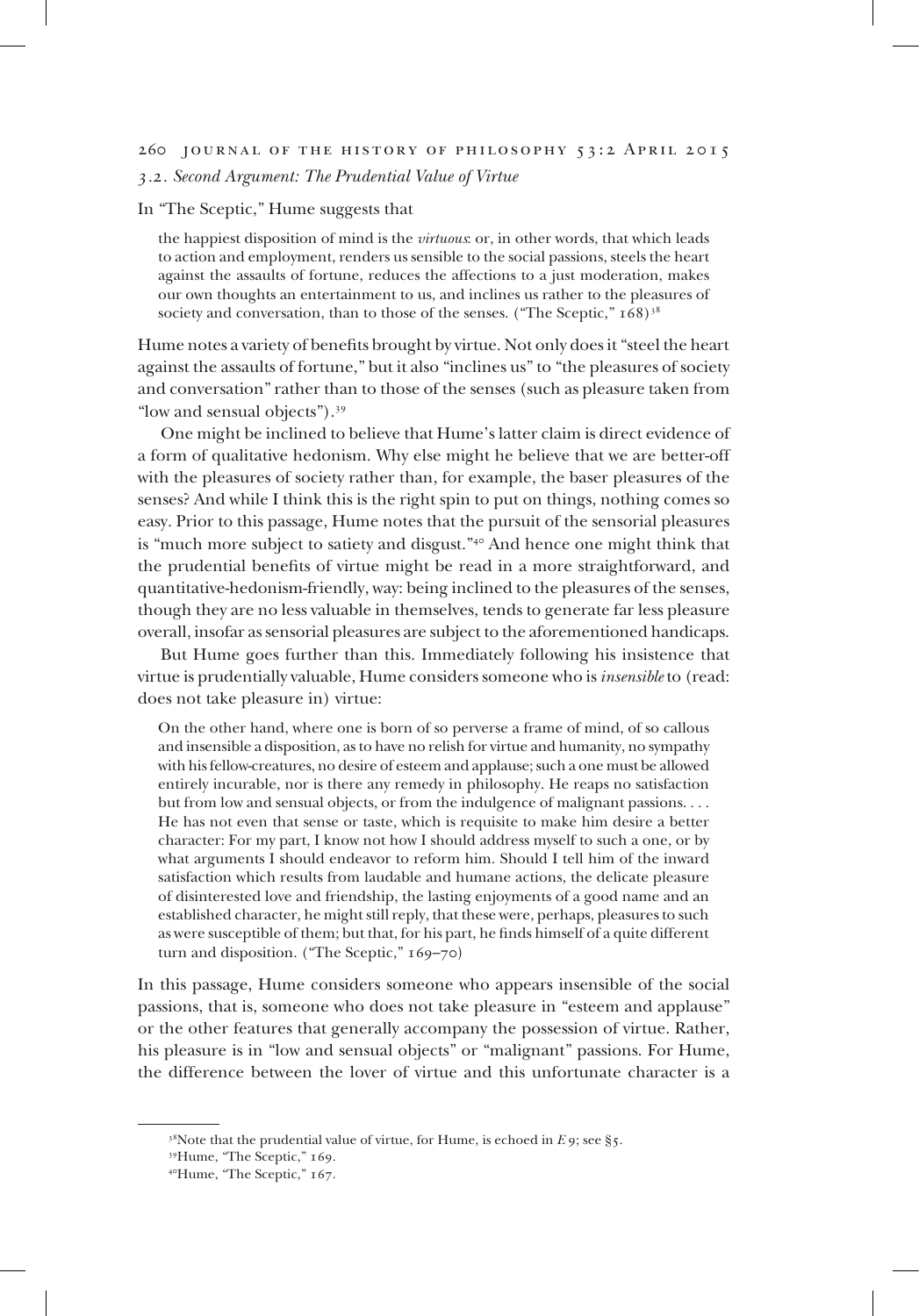#### *3.2. Second Argument: The Prudential Value of Virtue*

#### In "The Sceptic," Hume suggests that

the happiest disposition of mind is the *virtuous*: or, in other words, that which leads to action and employment, renders us sensible to the social passions, steels the heart against the assaults of fortune, reduces the affections to a just moderation, makes our own thoughts an entertainment to us, and inclines us rather to the pleasures of society and conversation, than to those of the senses. ("The Sceptic," 168)<sup>38</sup>

Hume notes a variety of benefits brought by virtue. Not only does it "steel the heart against the assaults of fortune," but it also "inclines us" to "the pleasures of society and conversation" rather than to those of the senses (such as pleasure taken from "low and sensual objects").<sup>39</sup>

One might be inclined to believe that Hume's latter claim is direct evidence of a form of qualitative hedonism. Why else might he believe that we are better-off with the pleasures of society rather than, for example, the baser pleasures of the senses? And while I think this is the right spin to put on things, nothing comes so easy. Prior to this passage, Hume notes that the pursuit of the sensorial pleasures is "much more subject to satiety and disgust."<sup>40</sup> And hence one might think that the prudential benefits of virtue might be read in a more straightforward, and quantitative-hedonism-friendly, way: being inclined to the pleasures of the senses, though they are no less valuable in themselves, tends to generate far less pleasure overall, insofar as sensorial pleasures are subject to the aforementioned handicaps.

But Hume goes further than this. Immediately following his insistence that virtue is prudentially valuable, Hume considers someone who is *insensible* to (read: does not take pleasure in) virtue:

On the other hand, where one is born of so perverse a frame of mind, of so callous and insensible a disposition, as to have no relish for virtue and humanity, no sympathy with his fellow-creatures, no desire of esteem and applause; such a one must be allowed entirely incurable, nor is there any remedy in philosophy. He reaps no satisfaction but from low and sensual objects, or from the indulgence of malignant passions. . . . He has not even that sense or taste, which is requisite to make him desire a better character: For my part, I know not how I should address myself to such a one, or by what arguments I should endeavor to reform him. Should I tell him of the inward satisfaction which results from laudable and humane actions, the delicate pleasure of disinterested love and friendship, the lasting enjoyments of a good name and an established character, he might still reply, that these were, perhaps, pleasures to such as were susceptible of them; but that, for his part, he finds himself of a quite different turn and disposition. ("The Sceptic," 169–70)

In this passage, Hume considers someone who appears insensible of the social passions, that is, someone who does not take pleasure in "esteem and applause" or the other features that generally accompany the possession of virtue. Rather, his pleasure is in "low and sensual objects" or "malignant" passions. For Hume, the difference between the lover of virtue and this unfortunate character is a

<sup>&</sup>lt;sup>38</sup>Note that the prudential value of virtue, for Hume, is echoed in  $E_9$ ; see §5.

<sup>39</sup>Hume, "The Sceptic," 169.

<sup>40</sup>Hume, "The Sceptic," 167.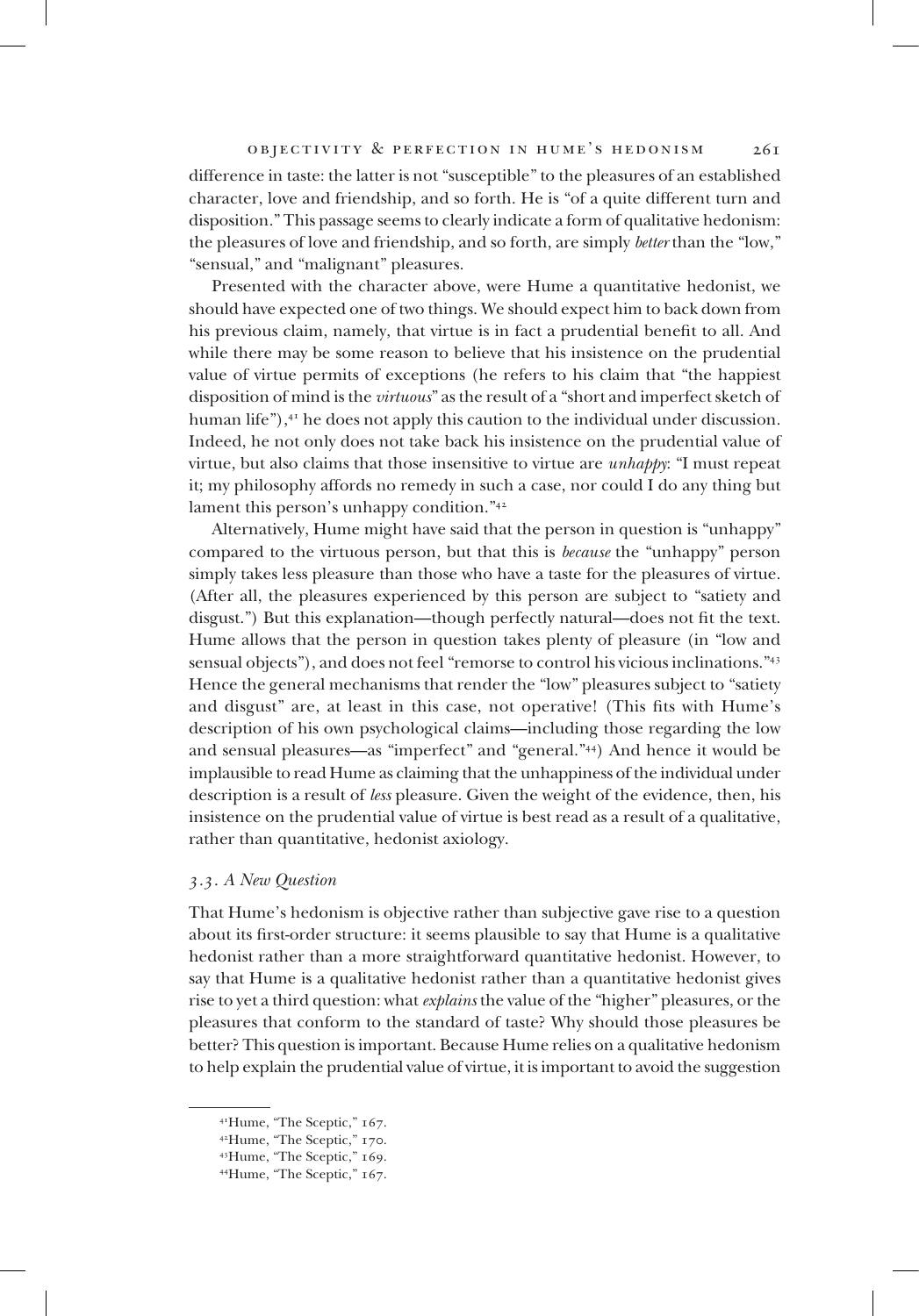difference in taste: the latter is not "susceptible" to the pleasures of an established character, love and friendship, and so forth. He is "of a quite different turn and disposition." This passage seems to clearly indicate a form of qualitative hedonism: the pleasures of love and friendship, and so forth, are simply *better* than the "low," "sensual," and "malignant" pleasures.

Presented with the character above, were Hume a quantitative hedonist, we should have expected one of two things. We should expect him to back down from his previous claim, namely, that virtue is in fact a prudential benefit to all. And while there may be some reason to believe that his insistence on the prudential value of virtue permits of exceptions (he refers to his claim that "the happiest disposition of mind is the *virtuous*" as the result of a "short and imperfect sketch of human life"),<sup>41</sup> he does not apply this caution to the individual under discussion. Indeed, he not only does not take back his insistence on the prudential value of virtue, but also claims that those insensitive to virtue are *unhappy*: "I must repeat it; my philosophy affords no remedy in such a case, nor could I do any thing but lament this person's unhappy condition."<sup>42</sup>

Alternatively, Hume might have said that the person in question is "unhappy" compared to the virtuous person, but that this is *because* the "unhappy" person simply takes less pleasure than those who have a taste for the pleasures of virtue. (After all, the pleasures experienced by this person are subject to "satiety and disgust.") But this explanation—though perfectly natural—does not fit the text. Hume allows that the person in question takes plenty of pleasure (in "low and sensual objects"), and does not feel "remorse to control his vicious inclinations."<sup>43</sup> Hence the general mechanisms that render the "low" pleasures subject to "satiety and disgust" are, at least in this case, not operative! (This fits with Hume's description of his own psychological claims—including those regarding the low and sensual pleasures—as "imperfect" and "general."<sup>44</sup>) And hence it would be implausible to read Hume as claiming that the unhappiness of the individual under description is a result of *less* pleasure. Given the weight of the evidence, then, his insistence on the prudential value of virtue is best read as a result of a qualitative, rather than quantitative, hedonist axiology.

#### *3.3. A New Question*

That Hume's hedonism is objective rather than subjective gave rise to a question about its first-order structure: it seems plausible to say that Hume is a qualitative hedonist rather than a more straightforward quantitative hedonist. However, to say that Hume is a qualitative hedonist rather than a quantitative hedonist gives rise to yet a third question: what *explains* the value of the "higher" pleasures, or the pleasures that conform to the standard of taste? Why should those pleasures be better? This question is important. Because Hume relies on a qualitative hedonism to help explain the prudential value of virtue, it is important to avoid the suggestion

<sup>41</sup>Hume, "The Sceptic," 167.

<sup>42</sup>Hume, "The Sceptic," 170.

<sup>43</sup>Hume, "The Sceptic," 169.

<sup>44</sup>Hume, "The Sceptic," 167.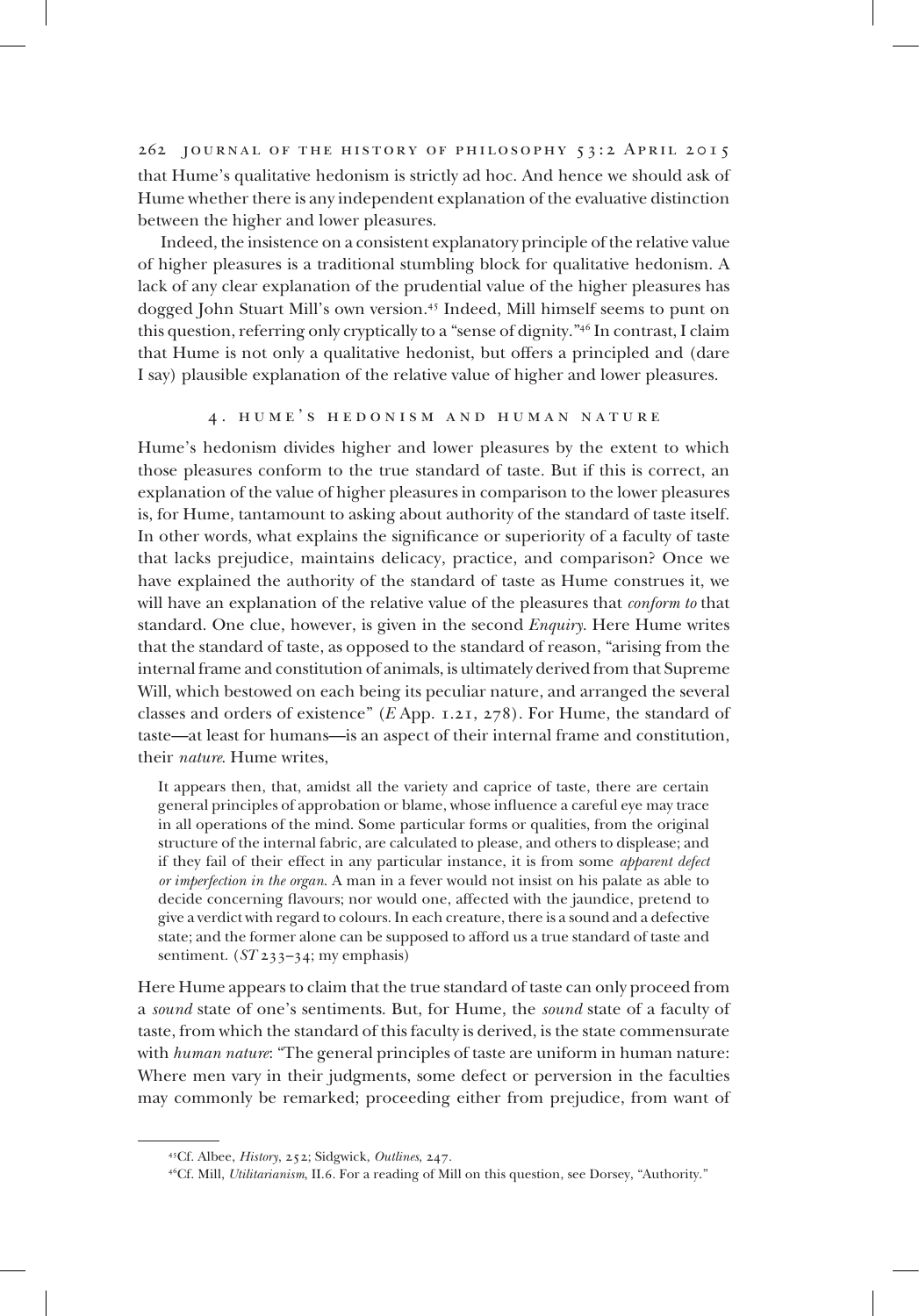262 journal of the history of philosophy 53:2 April 2015 that Hume's qualitative hedonism is strictly ad hoc. And hence we should ask of Hume whether there is any independent explanation of the evaluative distinction between the higher and lower pleasures.

Indeed, the insistence on a consistent explanatory principle of the relative value of higher pleasures is a traditional stumbling block for qualitative hedonism. A lack of any clear explanation of the prudential value of the higher pleasures has dogged John Stuart Mill's own version.<sup>45</sup> Indeed, Mill himself seems to punt on this question, referring only cryptically to a "sense of dignity."<sup>46</sup> In contrast, I claim that Hume is not only a qualitative hedonist, but offers a principled and (dare I say) plausible explanation of the relative value of higher and lower pleasures.

#### 4 . hume's hedonism and human nature

Hume's hedonism divides higher and lower pleasures by the extent to which those pleasures conform to the true standard of taste. But if this is correct, an explanation of the value of higher pleasures in comparison to the lower pleasures is, for Hume, tantamount to asking about authority of the standard of taste itself. In other words, what explains the significance or superiority of a faculty of taste that lacks prejudice, maintains delicacy, practice, and comparison? Once we have explained the authority of the standard of taste as Hume construes it, we will have an explanation of the relative value of the pleasures that *conform to* that standard. One clue, however, is given in the second *Enquiry*. Here Hume writes that the standard of taste, as opposed to the standard of reason, "arising from the internal frame and constitution of animals, is ultimately derived from that Supreme Will, which bestowed on each being its peculiar nature, and arranged the several classes and orders of existence" (*E* App. 1.21, 278). For Hume, the standard of taste—at least for humans—is an aspect of their internal frame and constitution, their *nature*. Hume writes,

It appears then, that, amidst all the variety and caprice of taste, there are certain general principles of approbation or blame, whose influence a careful eye may trace in all operations of the mind. Some particular forms or qualities, from the original structure of the internal fabric, are calculated to please, and others to displease; and if they fail of their effect in any particular instance, it is from some *apparent defect or imperfection in the organ*. A man in a fever would not insist on his palate as able to decide concerning flavours; nor would one, affected with the jaundice, pretend to give a verdict with regard to colours. In each creature, there is a sound and a defective state; and the former alone can be supposed to afford us a true standard of taste and sentiment. (*ST* 233–34; my emphasis)

Here Hume appears to claim that the true standard of taste can only proceed from a *sound* state of one's sentiments. But, for Hume, the *sound* state of a faculty of taste, from which the standard of this faculty is derived, is the state commensurate with *human nature*: "The general principles of taste are uniform in human nature: Where men vary in their judgments, some defect or perversion in the faculties may commonly be remarked; proceeding either from prejudice, from want of

<sup>45</sup>Cf. Albee, *History*, 252; Sidgwick, *Outlines*, 247.

<sup>46</sup>Cf. Mill, *Utilitarianism*, II.6. For a reading of Mill on this question, see Dorsey, "Authority."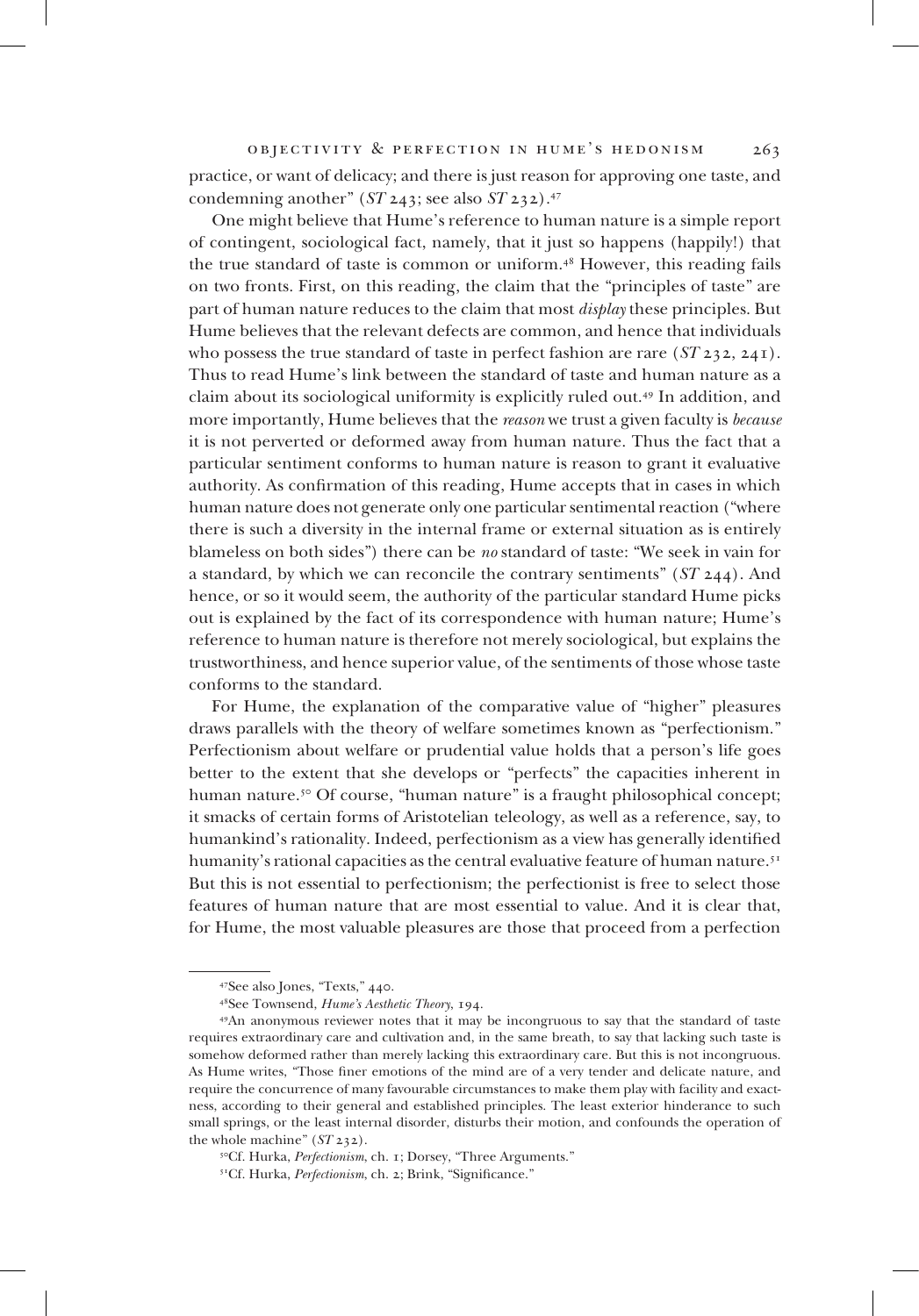practice, or want of delicacy; and there is just reason for approving one taste, and condemning another" (*ST* 243; see also *ST* 232).<sup>47</sup>

One might believe that Hume's reference to human nature is a simple report of contingent, sociological fact, namely, that it just so happens (happily!) that the true standard of taste is common or uniform.<sup>48</sup> However, this reading fails on two fronts. First, on this reading, the claim that the "principles of taste" are part of human nature reduces to the claim that most *display* these principles. But Hume believes that the relevant defects are common, and hence that individuals who possess the true standard of taste in perfect fashion are rare (*ST* 232, 241). Thus to read Hume's link between the standard of taste and human nature as a claim about its sociological uniformity is explicitly ruled out.<sup>49</sup> In addition, and more importantly, Hume believes that the *reason* we trust a given faculty is *because* it is not perverted or deformed away from human nature. Thus the fact that a particular sentiment conforms to human nature is reason to grant it evaluative authority. As confirmation of this reading, Hume accepts that in cases in which human nature does not generate only one particular sentimental reaction ("where there is such a diversity in the internal frame or external situation as is entirely blameless on both sides") there can be *no* standard of taste: "We seek in vain for a standard, by which we can reconcile the contrary sentiments" (*ST* 244). And hence, or so it would seem, the authority of the particular standard Hume picks out is explained by the fact of its correspondence with human nature; Hume's reference to human nature is therefore not merely sociological, but explains the trustworthiness, and hence superior value, of the sentiments of those whose taste conforms to the standard.

For Hume, the explanation of the comparative value of "higher" pleasures draws parallels with the theory of welfare sometimes known as "perfectionism." Perfectionism about welfare or prudential value holds that a person's life goes better to the extent that she develops or "perfects" the capacities inherent in human nature.<sup>50</sup> Of course, "human nature" is a fraught philosophical concept; it smacks of certain forms of Aristotelian teleology, as well as a reference, say, to humankind's rationality. Indeed, perfectionism as a view has generally identified humanity's rational capacities as the central evaluative feature of human nature.<sup>51</sup> But this is not essential to perfectionism; the perfectionist is free to select those features of human nature that are most essential to value. And it is clear that, for Hume, the most valuable pleasures are those that proceed from a perfection

<sup>47</sup>See also Jones, "Texts," 440.

<sup>48</sup>See Townsend, *Hume's Aesthetic Theory*, 194.

<sup>49</sup>An anonymous reviewer notes that it may be incongruous to say that the standard of taste requires extraordinary care and cultivation and, in the same breath, to say that lacking such taste is somehow deformed rather than merely lacking this extraordinary care. But this is not incongruous. As Hume writes, "Those finer emotions of the mind are of a very tender and delicate nature, and require the concurrence of many favourable circumstances to make them play with facility and exactness, according to their general and established principles. The least exterior hinderance to such small springs, or the least internal disorder, disturbs their motion, and confounds the operation of the whole machine" (*ST* 232).

<sup>50</sup>Cf. Hurka, *Perfectionism*, ch. 1; Dorsey, "Three Arguments."

<sup>51</sup>Cf. Hurka, *Perfectionism*, ch. 2; Brink, "Significance."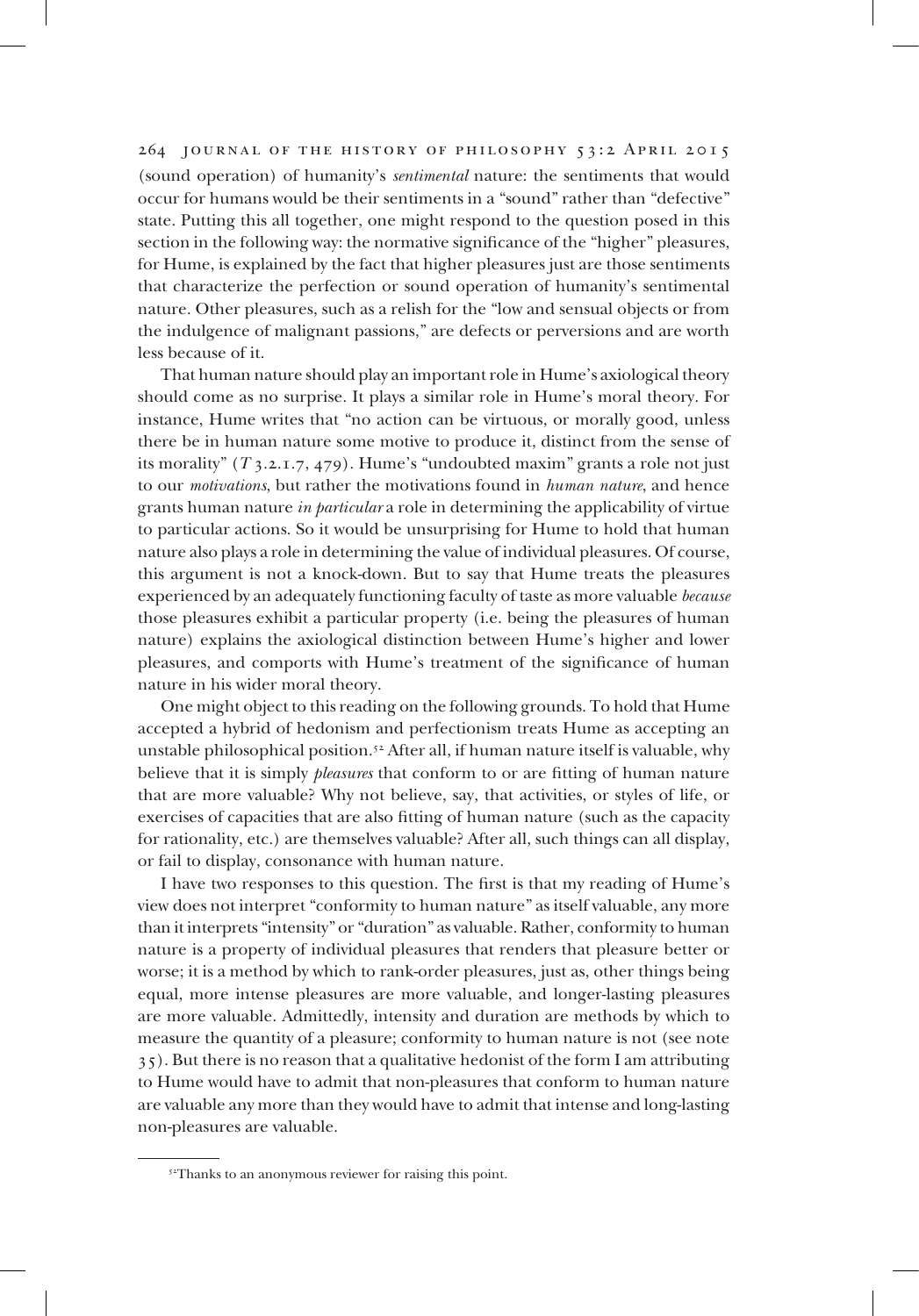(sound operation) of humanity's *sentimental* nature: the sentiments that would occur for humans would be their sentiments in a "sound" rather than "defective" state. Putting this all together, one might respond to the question posed in this section in the following way: the normative significance of the "higher" pleasures, for Hume, is explained by the fact that higher pleasures just are those sentiments that characterize the perfection or sound operation of humanity's sentimental nature. Other pleasures, such as a relish for the "low and sensual objects or from the indulgence of malignant passions," are defects or perversions and are worth less because of it.

That human nature should play an important role in Hume's axiological theory should come as no surprise. It plays a similar role in Hume's moral theory. For instance, Hume writes that "no action can be virtuous, or morally good, unless there be in human nature some motive to produce it, distinct from the sense of its morality" (*T* 3.2.1.7, 479). Hume's "undoubted maxim" grants a role not just to our *motivations*, but rather the motivations found in *human nature*, and hence grants human nature *in particular* a role in determining the applicability of virtue to particular actions. So it would be unsurprising for Hume to hold that human nature also plays a role in determining the value of individual pleasures. Of course, this argument is not a knock-down. But to say that Hume treats the pleasures experienced by an adequately functioning faculty of taste as more valuable *because* those pleasures exhibit a particular property (i.e. being the pleasures of human nature) explains the axiological distinction between Hume's higher and lower pleasures, and comports with Hume's treatment of the significance of human nature in his wider moral theory.

One might object to this reading on the following grounds. To hold that Hume accepted a hybrid of hedonism and perfectionism treats Hume as accepting an unstable philosophical position.<sup>52</sup> After all, if human nature itself is valuable, why believe that it is simply *pleasures* that conform to or are fitting of human nature that are more valuable? Why not believe, say, that activities, or styles of life, or exercises of capacities that are also fitting of human nature (such as the capacity for rationality, etc.) are themselves valuable? After all, such things can all display, or fail to display, consonance with human nature.

I have two responses to this question. The first is that my reading of Hume's view does not interpret "conformity to human nature" as itself valuable, any more than it interprets "intensity" or "duration" as valuable. Rather, conformity to human nature is a property of individual pleasures that renders that pleasure better or worse; it is a method by which to rank-order pleasures, just as, other things being equal, more intense pleasures are more valuable, and longer-lasting pleasures are more valuable. Admittedly, intensity and duration are methods by which to measure the quantity of a pleasure; conformity to human nature is not (see note 35). But there is no reason that a qualitative hedonist of the form I am attributing to Hume would have to admit that non-pleasures that conform to human nature are valuable any more than they would have to admit that intense and long-lasting non-pleasures are valuable.

<sup>&</sup>lt;sup>52</sup>Thanks to an anonymous reviewer for raising this point.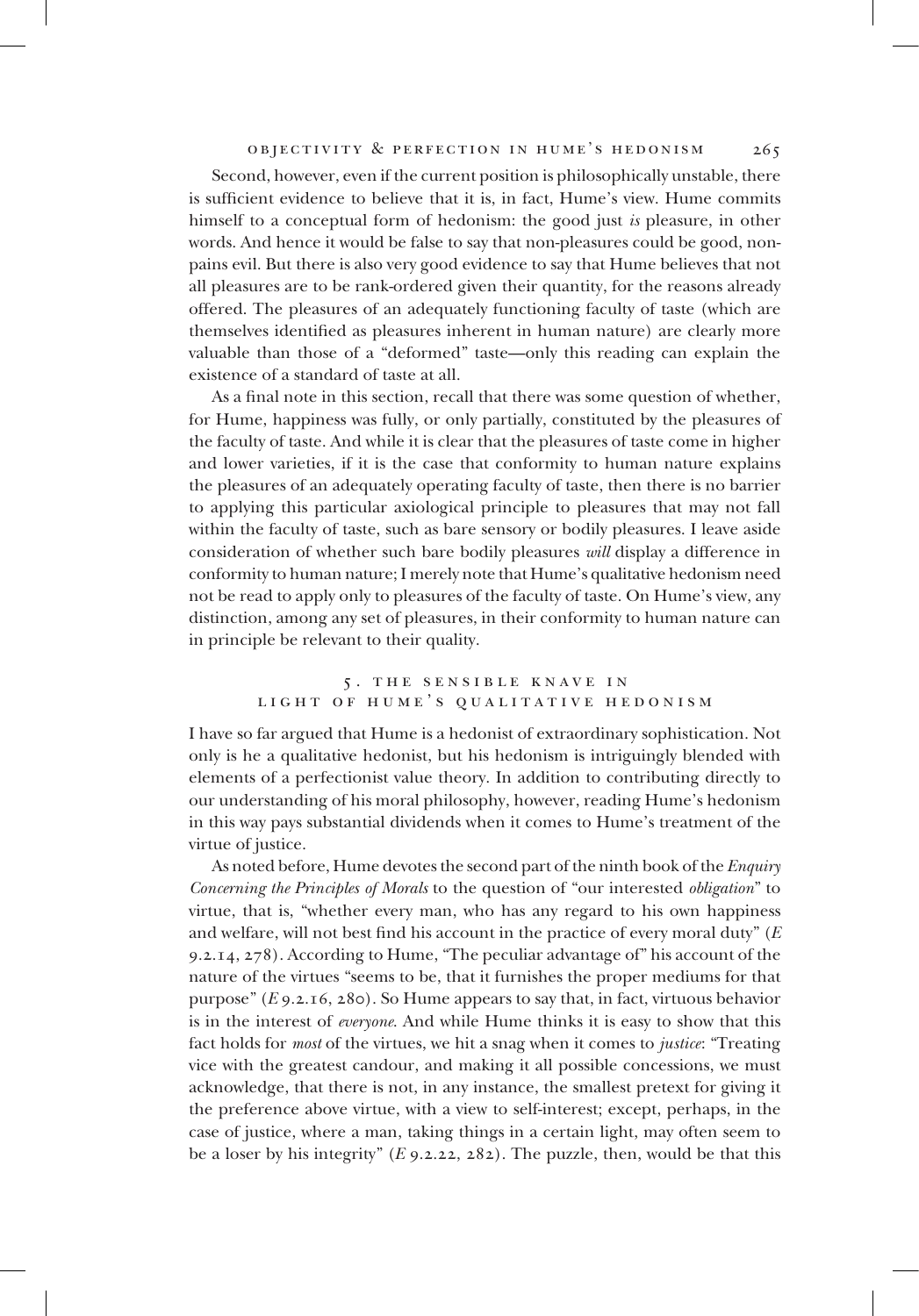Second, however, even if the current position is philosophically unstable, there is sufficient evidence to believe that it is, in fact, Hume's view. Hume commits himself to a conceptual form of hedonism: the good just *is* pleasure, in other words. And hence it would be false to say that non-pleasures could be good, nonpains evil. But there is also very good evidence to say that Hume believes that not all pleasures are to be rank-ordered given their quantity, for the reasons already offered. The pleasures of an adequately functioning faculty of taste (which are themselves identified as pleasures inherent in human nature) are clearly more valuable than those of a "deformed" taste—only this reading can explain the existence of a standard of taste at all.

As a final note in this section, recall that there was some question of whether, for Hume, happiness was fully, or only partially, constituted by the pleasures of the faculty of taste. And while it is clear that the pleasures of taste come in higher and lower varieties, if it is the case that conformity to human nature explains the pleasures of an adequately operating faculty of taste, then there is no barrier to applying this particular axiological principle to pleasures that may not fall within the faculty of taste, such as bare sensory or bodily pleasures. I leave aside consideration of whether such bare bodily pleasures *will* display a difference in conformity to human nature; I merely note that Hume's qualitative hedonism need not be read to apply only to pleasures of the faculty of taste. On Hume's view, any distinction, among any set of pleasures, in their conformity to human nature can in principle be relevant to their quality.

#### 5 . t h e s e n s i b l e k n a v e i n light of hume's qualitative hedonism

I have so far argued that Hume is a hedonist of extraordinary sophistication. Not only is he a qualitative hedonist, but his hedonism is intriguingly blended with elements of a perfectionist value theory. In addition to contributing directly to our understanding of his moral philosophy, however, reading Hume's hedonism in this way pays substantial dividends when it comes to Hume's treatment of the virtue of justice.

As noted before, Hume devotes the second part of the ninth book of the *Enquiry Concerning the Principles of Morals* to the question of "our interested *obligation*" to virtue, that is, "whether every man, who has any regard to his own happiness and welfare, will not best find his account in the practice of every moral duty" (*E* 9.2.14, 278). According to Hume, "The peculiar advantage of" his account of the nature of the virtues "seems to be, that it furnishes the proper mediums for that purpose" (*E* 9.2.16, 280). So Hume appears to say that, in fact, virtuous behavior is in the interest of *everyone*. And while Hume thinks it is easy to show that this fact holds for *most* of the virtues, we hit a snag when it comes to *justice*: "Treating vice with the greatest candour, and making it all possible concessions, we must acknowledge, that there is not, in any instance, the smallest pretext for giving it the preference above virtue, with a view to self-interest; except, perhaps, in the case of justice, where a man, taking things in a certain light, may often seem to be a loser by his integrity" (*E* 9.2.22, 282). The puzzle, then, would be that this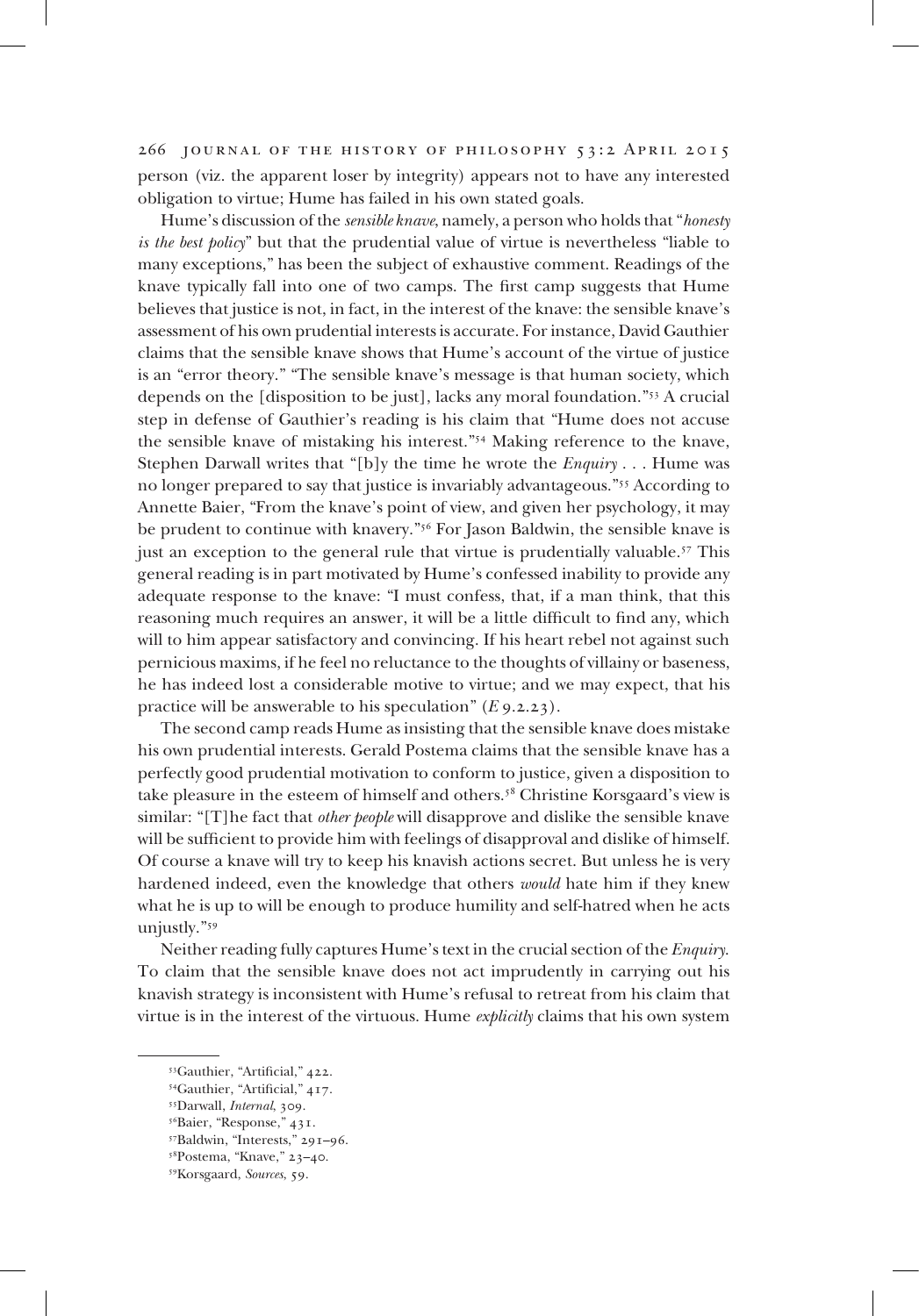266 journal of the history of philosophy 53:2 April 2015 person (viz. the apparent loser by integrity) appears not to have any interested obligation to virtue; Hume has failed in his own stated goals.

Hume's discussion of the *sensible knave*, namely, a person who holds that "*honesty is the best policy*" but that the prudential value of virtue is nevertheless "liable to many exceptions," has been the subject of exhaustive comment. Readings of the knave typically fall into one of two camps. The first camp suggests that Hume believes that justice is not, in fact, in the interest of the knave: the sensible knave's assessment of his own prudential interests is accurate. For instance, David Gauthier claims that the sensible knave shows that Hume's account of the virtue of justice is an "error theory." "The sensible knave's message is that human society, which depends on the [disposition to be just], lacks any moral foundation."<sup>53</sup> A crucial step in defense of Gauthier's reading is his claim that "Hume does not accuse the sensible knave of mistaking his interest."<sup>54</sup> Making reference to the knave, Stephen Darwall writes that "[b]y the time he wrote the *Enquiry* . . . Hume was no longer prepared to say that justice is invariably advantageous."<sup>55</sup> According to Annette Baier, "From the knave's point of view, and given her psychology, it may be prudent to continue with knavery."<sup>56</sup> For Jason Baldwin, the sensible knave is just an exception to the general rule that virtue is prudentially valuable.<sup>57</sup> This general reading is in part motivated by Hume's confessed inability to provide any adequate response to the knave: "I must confess, that, if a man think, that this reasoning much requires an answer, it will be a little difficult to find any, which will to him appear satisfactory and convincing. If his heart rebel not against such pernicious maxims, if he feel no reluctance to the thoughts of villainy or baseness, he has indeed lost a considerable motive to virtue; and we may expect, that his practice will be answerable to his speculation" (*E* 9.2.23).

The second camp reads Hume as insisting that the sensible knave does mistake his own prudential interests. Gerald Postema claims that the sensible knave has a perfectly good prudential motivation to conform to justice, given a disposition to take pleasure in the esteem of himself and others.<sup>58</sup> Christine Korsgaard's view is similar: "[T]he fact that *other people* will disapprove and dislike the sensible knave will be sufficient to provide him with feelings of disapproval and dislike of himself. Of course a knave will try to keep his knavish actions secret. But unless he is very hardened indeed, even the knowledge that others *would* hate him if they knew what he is up to will be enough to produce humility and self-hatred when he acts unjustly."<sup>59</sup>

Neither reading fully captures Hume's text in the crucial section of the *Enquiry*. To claim that the sensible knave does not act imprudently in carrying out his knavish strategy is inconsistent with Hume's refusal to retreat from his claim that virtue is in the interest of the virtuous. Hume *explicitly* claims that his own system

<sup>53</sup>Gauthier, "Artificial," 422.

<sup>54</sup>Gauthier, "Artificial," 417.

<sup>55</sup>Darwall, *Internal*, 309.

<sup>56</sup>Baier, "Response," 431.

<sup>57</sup>Baldwin, "Interests," 291–96.

<sup>58</sup>Postema, "Knave," 23–40.

<sup>59</sup>Korsgaard, *Sources*, 59.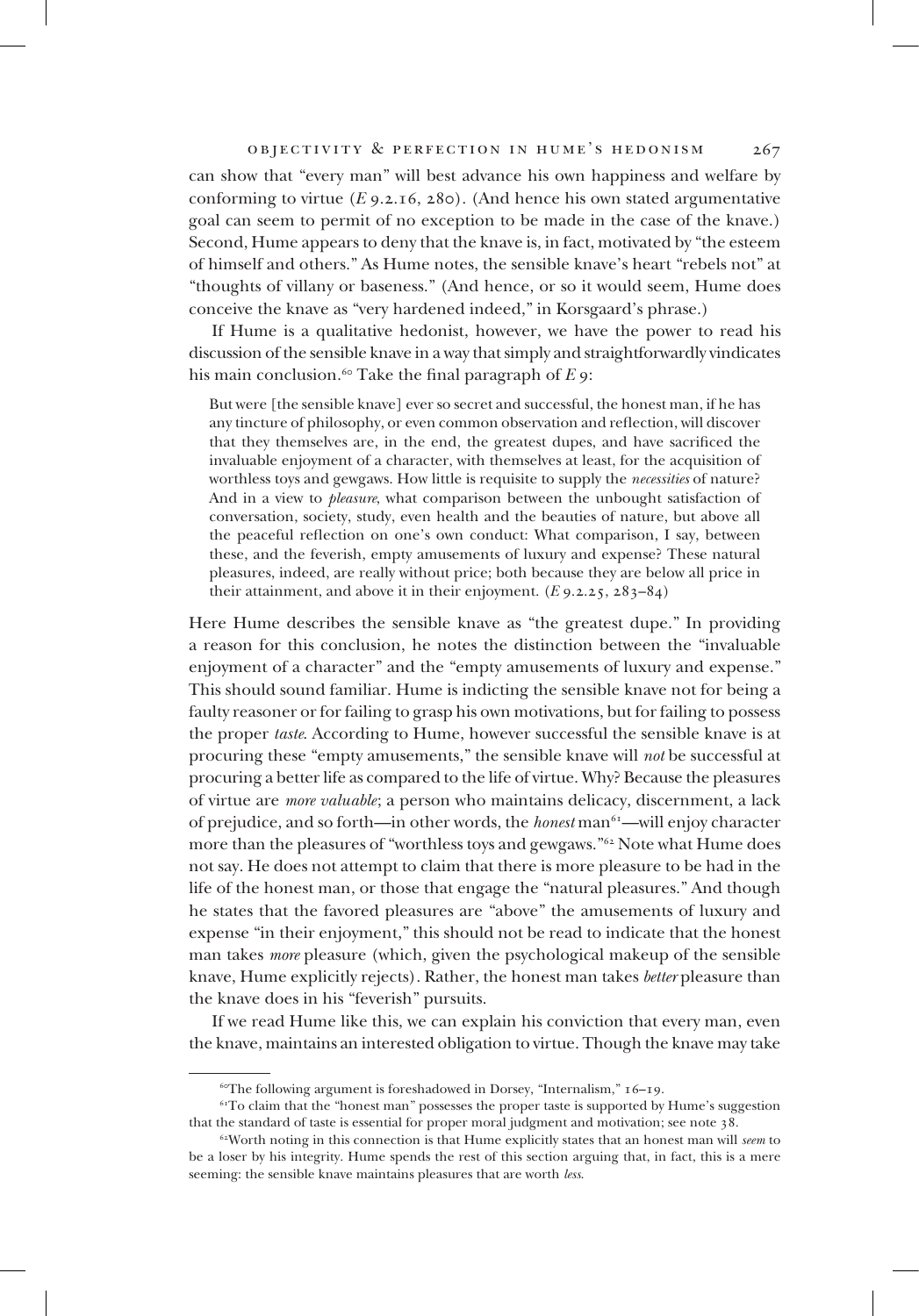can show that "every man" will best advance his own happiness and welfare by conforming to virtue  $(E_9.2.16, 280)$ . (And hence his own stated argumentative goal can seem to permit of no exception to be made in the case of the knave.) Second, Hume appears to deny that the knave is, in fact, motivated by "the esteem of himself and others." As Hume notes, the sensible knave's heart "rebels not" at "thoughts of villany or baseness." (And hence, or so it would seem, Hume does conceive the knave as "very hardened indeed," in Korsgaard's phrase.)

If Hume is a qualitative hedonist, however, we have the power to read his discussion of the sensible knave in a way that simply and straightforwardly vindicates his main conclusion.<sup>60</sup> Take the final paragraph of  $E_9$ :

But were [the sensible knave] ever so secret and successful, the honest man, if he has any tincture of philosophy, or even common observation and reflection, will discover that they themselves are, in the end, the greatest dupes, and have sacrificed the invaluable enjoyment of a character, with themselves at least, for the acquisition of worthless toys and gewgaws. How little is requisite to supply the *necessities* of nature? And in a view to *pleasure*, what comparison between the unbought satisfaction of conversation, society, study, even health and the beauties of nature, but above all the peaceful reflection on one's own conduct: What comparison, I say, between these, and the feverish, empty amusements of luxury and expense? These natural pleasures, indeed, are really without price; both because they are below all price in their attainment, and above it in their enjoyment.  $(E_9.2.25, 283-84)$ 

Here Hume describes the sensible knave as "the greatest dupe." In providing a reason for this conclusion, he notes the distinction between the "invaluable enjoyment of a character" and the "empty amusements of luxury and expense." This should sound familiar. Hume is indicting the sensible knave not for being a faulty reasoner or for failing to grasp his own motivations, but for failing to possess the proper *taste*. According to Hume, however successful the sensible knave is at procuring these "empty amusements," the sensible knave will *not* be successful at procuring a better life as compared to the life of virtue. Why? Because the pleasures of virtue are *more valuable*; a person who maintains delicacy, discernment, a lack of prejudice, and so forth—in other words, the *honest* man<sup>61</sup>—will enjoy character more than the pleasures of "worthless toys and gewgaws."<sup>62</sup> Note what Hume does not say. He does not attempt to claim that there is more pleasure to be had in the life of the honest man, or those that engage the "natural pleasures." And though he states that the favored pleasures are "above" the amusements of luxury and expense "in their enjoyment," this should not be read to indicate that the honest man takes *more* pleasure (which, given the psychological makeup of the sensible knave, Hume explicitly rejects). Rather, the honest man takes *better* pleasure than the knave does in his "feverish" pursuits.

If we read Hume like this, we can explain his conviction that every man, even the knave, maintains an interested obligation to virtue. Though the knave may take

<sup>60</sup>The following argument is foreshadowed in Dorsey, "Internalism," 16–19.

<sup>&</sup>lt;sup>61</sup>To claim that the "honest man" possesses the proper taste is supported by Hume's suggestion that the standard of taste is essential for proper moral judgment and motivation; see note 38.

<sup>62</sup>Worth noting in this connection is that Hume explicitly states that an honest man will *seem* to be a loser by his integrity. Hume spends the rest of this section arguing that, in fact, this is a mere seeming: the sensible knave maintains pleasures that are worth *less*.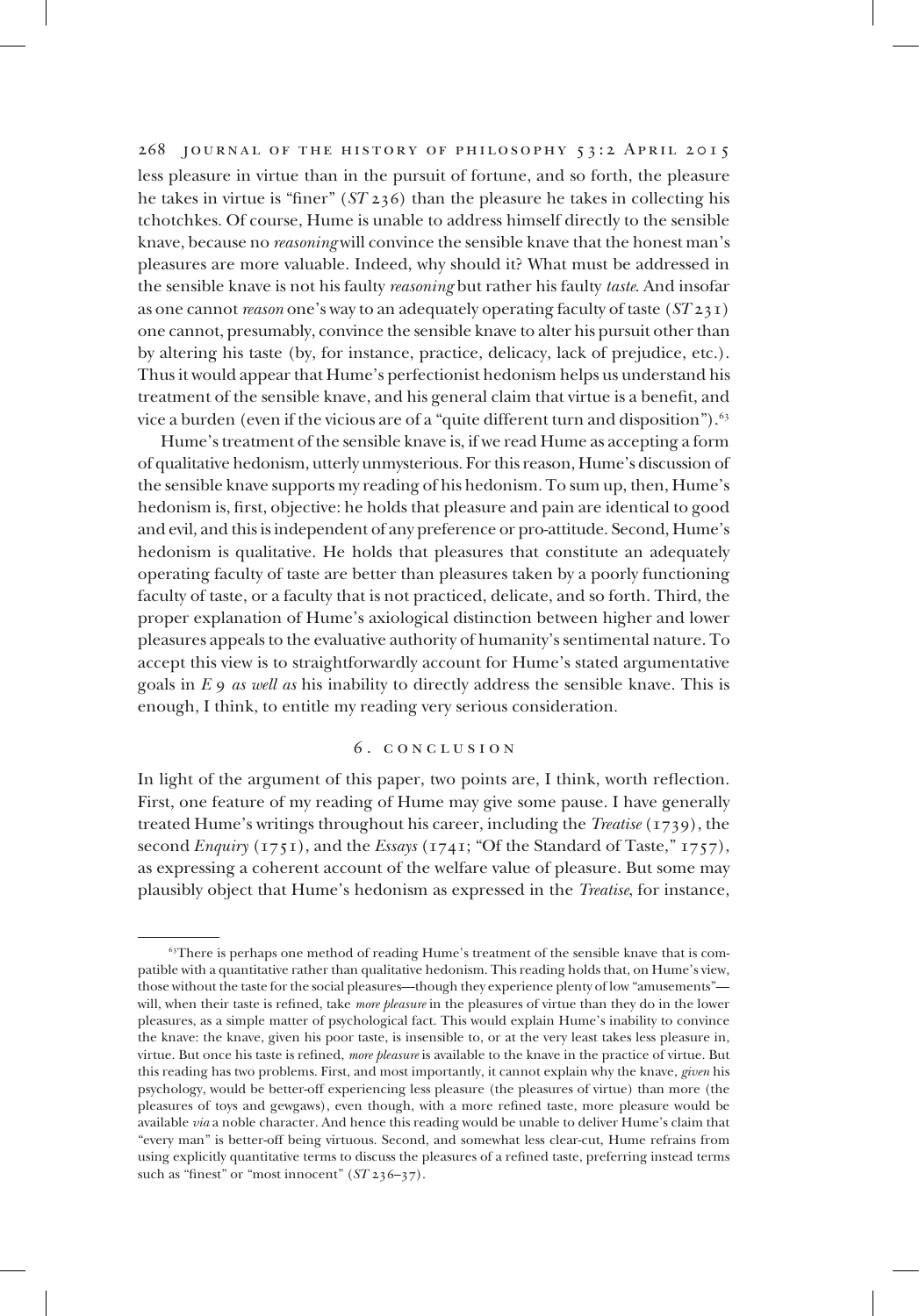less pleasure in virtue than in the pursuit of fortune, and so forth, the pleasure he takes in virtue is "finer" (*ST* 236) than the pleasure he takes in collecting his tchotchkes. Of course, Hume is unable to address himself directly to the sensible knave, because no *reasoning* will convince the sensible knave that the honest man's pleasures are more valuable. Indeed, why should it? What must be addressed in the sensible knave is not his faulty *reasoning* but rather his faulty *taste*. And insofar as one cannot *reason* one's way to an adequately operating faculty of taste (*ST* 231) one cannot, presumably, convince the sensible knave to alter his pursuit other than by altering his taste (by, for instance, practice, delicacy, lack of prejudice, etc.). Thus it would appear that Hume's perfectionist hedonism helps us understand his treatment of the sensible knave, and his general claim that virtue is a benefit, and vice a burden (even if the vicious are of a "quite different turn and disposition").<sup>63</sup>

Hume's treatment of the sensible knave is, if we read Hume as accepting a form of qualitative hedonism, utterly unmysterious. For this reason, Hume's discussion of the sensible knave supports my reading of his hedonism. To sum up, then, Hume's hedonism is, first, objective: he holds that pleasure and pain are identical to good and evil, and this is independent of any preference or pro-attitude. Second, Hume's hedonism is qualitative. He holds that pleasures that constitute an adequately operating faculty of taste are better than pleasures taken by a poorly functioning faculty of taste, or a faculty that is not practiced, delicate, and so forth. Third, the proper explanation of Hume's axiological distinction between higher and lower pleasures appeals to the evaluative authority of humanity's sentimental nature. To accept this view is to straightforwardly account for Hume's stated argumentative goals in *E* 9 *as well as* his inability to directly address the sensible knave. This is enough, I think, to entitle my reading very serious consideration.

#### 6 . conclusion

In light of the argument of this paper, two points are, I think, worth reflection. First, one feature of my reading of Hume may give some pause. I have generally treated Hume's writings throughout his career, including the *Treatise* (1739), the second *Enquiry* (1751), and the *Essays* (1741; "Of the Standard of Taste," 1757), as expressing a coherent account of the welfare value of pleasure. But some may plausibly object that Hume's hedonism as expressed in the *Treatise*, for instance,

<sup>63</sup>There is perhaps one method of reading Hume's treatment of the sensible knave that is compatible with a quantitative rather than qualitative hedonism. This reading holds that, on Hume's view, those without the taste for the social pleasures—though they experience plenty of low "amusements" will, when their taste is refined, take *more pleasure* in the pleasures of virtue than they do in the lower pleasures, as a simple matter of psychological fact. This would explain Hume's inability to convince the knave: the knave, given his poor taste, is insensible to, or at the very least takes less pleasure in, virtue. But once his taste is refined, *more pleasure* is available to the knave in the practice of virtue. But this reading has two problems. First, and most importantly, it cannot explain why the knave, *given* his psychology, would be better-off experiencing less pleasure (the pleasures of virtue) than more (the pleasures of toys and gewgaws), even though, with a more refined taste, more pleasure would be available *via* a noble character. And hence this reading would be unable to deliver Hume's claim that "every man" is better-off being virtuous. Second, and somewhat less clear-cut, Hume refrains from using explicitly quantitative terms to discuss the pleasures of a refined taste, preferring instead terms such as "finest" or "most innocent" (*ST* 236–37).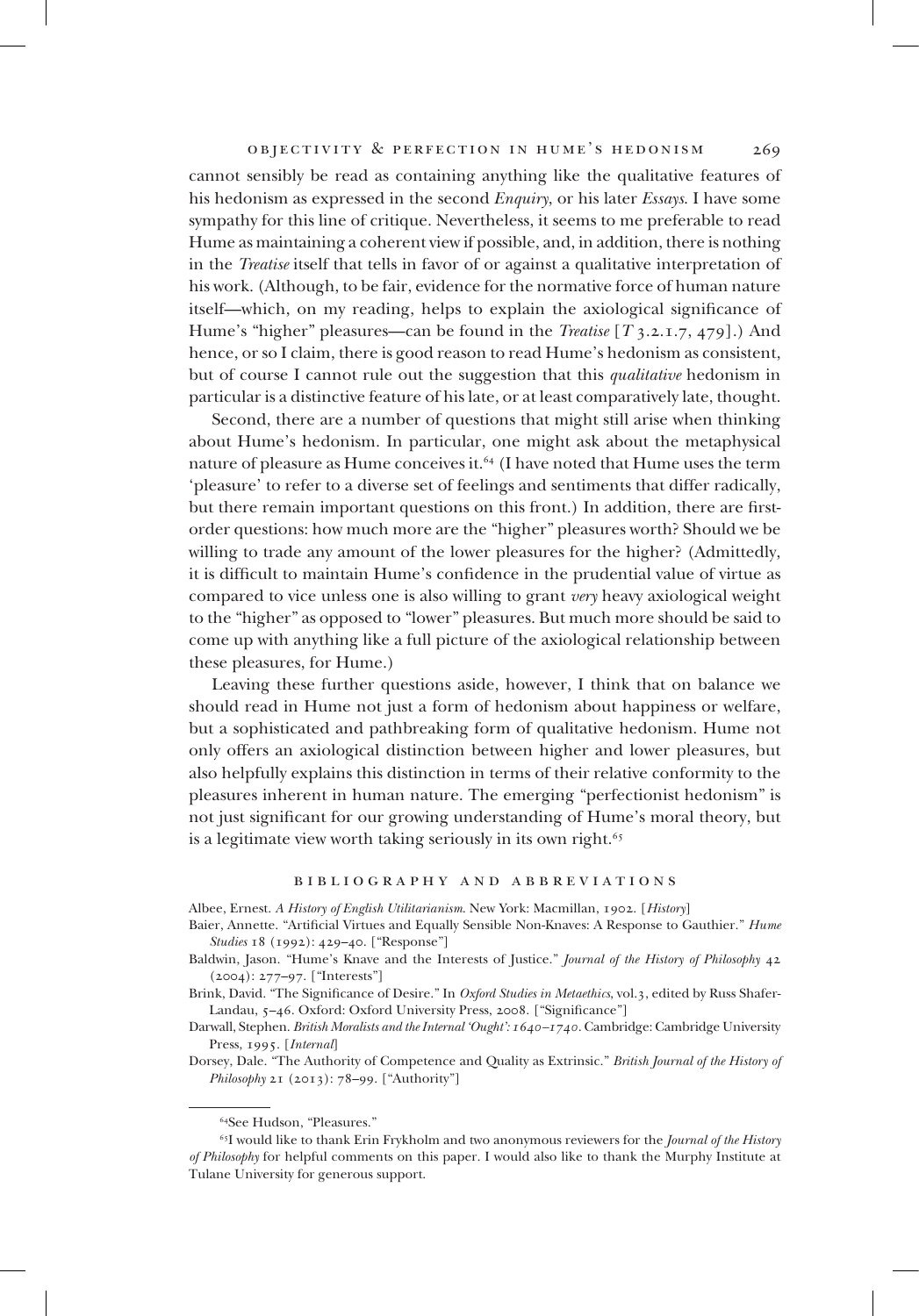cannot sensibly be read as containing anything like the qualitative features of his hedonism as expressed in the second *Enquiry*, or his later *Essays*. I have some sympathy for this line of critique. Nevertheless, it seems to me preferable to read Hume as maintaining a coherent view if possible, and, in addition, there is nothing in the *Treatise* itself that tells in favor of or against a qualitative interpretation of his work. (Although, to be fair, evidence for the normative force of human nature itself—which, on my reading, helps to explain the axiological significance of Hume's "higher" pleasures—can be found in the *Treatise* [*T* 3.2.1.7, 479].) And hence, or so I claim, there is good reason to read Hume's hedonism as consistent, but of course I cannot rule out the suggestion that this *qualitative* hedonism in particular is a distinctive feature of his late, or at least comparatively late, thought.

Second, there are a number of questions that might still arise when thinking about Hume's hedonism. In particular, one might ask about the metaphysical nature of pleasure as Hume conceives it.<sup>64</sup> (I have noted that Hume uses the term 'pleasure' to refer to a diverse set of feelings and sentiments that differ radically, but there remain important questions on this front.) In addition, there are firstorder questions: how much more are the "higher" pleasures worth? Should we be willing to trade any amount of the lower pleasures for the higher? (Admittedly, it is difficult to maintain Hume's confidence in the prudential value of virtue as compared to vice unless one is also willing to grant *very* heavy axiological weight to the "higher" as opposed to "lower" pleasures. But much more should be said to come up with anything like a full picture of the axiological relationship between these pleasures, for Hume.)

Leaving these further questions aside, however, I think that on balance we should read in Hume not just a form of hedonism about happiness or welfare, but a sophisticated and pathbreaking form of qualitative hedonism. Hume not only offers an axiological distinction between higher and lower pleasures, but also helpfully explains this distinction in terms of their relative conformity to the pleasures inherent in human nature. The emerging "perfectionist hedonism" is not just significant for our growing understanding of Hume's moral theory, but is a legitimate view worth taking seriously in its own right. $65$ 

#### bibliography and abbreviations

Albee, Ernest. *A History of English Utilitarianism*. New York: Macmillan, 1902. [*History*]

- Baier, Annette. "Artificial Virtues and Equally Sensible Non-Knaves: A Response to Gauthier." *Hume Studies* 18 (1992): 429–40. ["Response"]
- Baldwin, Jason. "Hume's Knave and the Interests of Justice." *Journal of the History of Philosophy* 42 (2004): 277–97. ["Interests"]
- Brink, David. "The Significance of Desire." In *Oxford Studies in Metaethics*, vol.3, edited by Russ Shafer-Landau, 5–46. Oxford: Oxford University Press, 2008. ["Significance"]

Darwall, Stephen. *British Moralists and the Internal 'Ought': 1640–1740*. Cambridge: Cambridge University Press, 1995. [*Internal*]

Dorsey, Dale. "The Authority of Competence and Quality as Extrinsic." *British Journal of the History of Philosophy* 21 (2013): 78–99. ["Authority"]

<sup>64</sup>See Hudson, "Pleasures."

<sup>65</sup>I would like to thank Erin Frykholm and two anonymous reviewers for the *Journal of the History of Philosophy* for helpful comments on this paper. I would also like to thank the Murphy Institute at Tulane University for generous support.